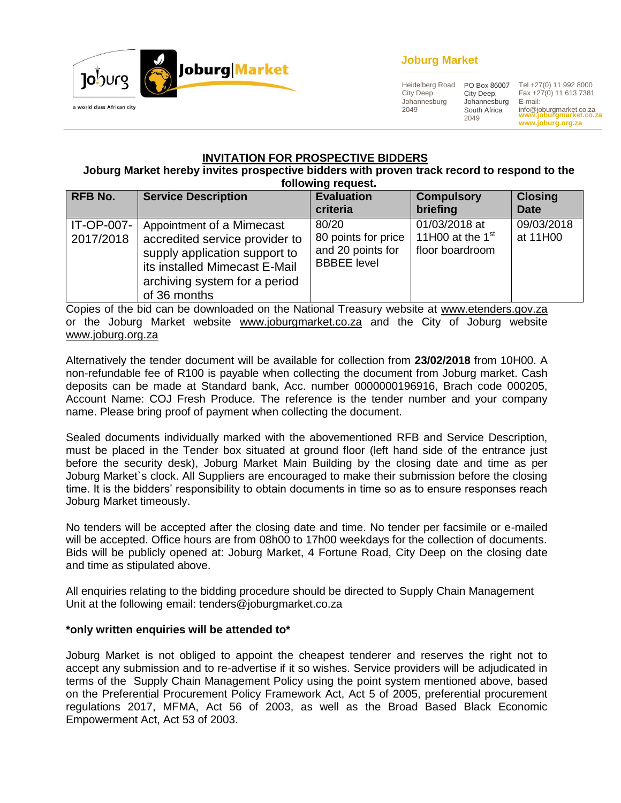

## **Joburg Market**

Heidelberg Road City Deep Johannesburg 2049

PO Box 86007 City Deep, Johannesburg South Africa 2049

**www.joburgmarket.co.za www.joburg.org.za** Tel +27(0) 11 992 8000 Fax +27(0) 11 613 7381 E-mail: info@joburgmarket.co.za

#### **INVITATION FOR PROSPECTIVE BIDDERS**

#### **Joburg Market hereby invites prospective bidders with proven track record to respond to the following request.**

| <b>RFB No.</b>          | <b>Service Description</b>                                                                                                                                                     | 19119111191099906<br><b>Evaluation</b><br>criteria                      | <b>Compulsory</b><br>briefing                          | <b>Closing</b><br><b>Date</b> |
|-------------------------|--------------------------------------------------------------------------------------------------------------------------------------------------------------------------------|-------------------------------------------------------------------------|--------------------------------------------------------|-------------------------------|
| IT-OP-007-<br>2017/2018 | Appointment of a Mimecast<br>accredited service provider to<br>supply application support to<br>its installed Mimecast E-Mail<br>archiving system for a period<br>of 36 months | 80/20<br>80 points for price<br>and 20 points for<br><b>BBBEE</b> level | 01/03/2018 at<br>11H00 at the $1st$<br>floor boardroom | 09/03/2018<br>at 11H00        |

Copies of the bid can be downloaded on the National Treasury website at [www.etenders.gov.za](http://www.etenders.gov.za/) or the Joburg Market website [www.joburgmarket.co.za](http://www.joburgmarket.co.za/) and the City of Joburg website [www.joburg.org.za](http://www.joburg.org.za/)

Alternatively the tender document will be available for collection from **23/02/2018** from 10H00. A non-refundable fee of R100 is payable when collecting the document from Joburg market. Cash deposits can be made at Standard bank, Acc. number 0000000196916, Brach code 000205, Account Name: COJ Fresh Produce. The reference is the tender number and your company name. Please bring proof of payment when collecting the document.

Sealed documents individually marked with the abovementioned RFB and Service Description, must be placed in the Tender box situated at ground floor (left hand side of the entrance just before the security desk), Joburg Market Main Building by the closing date and time as per Joburg Market`s clock. All Suppliers are encouraged to make their submission before the closing time. It is the bidders' responsibility to obtain documents in time so as to ensure responses reach Joburg Market timeously.

No tenders will be accepted after the closing date and time. No tender per facsimile or e-mailed will be accepted. Office hours are from 08h00 to 17h00 weekdays for the collection of documents. Bids will be publicly opened at: Joburg Market, 4 Fortune Road, City Deep on the closing date and time as stipulated above.

All enquiries relating to the bidding procedure should be directed to Supply Chain Management Unit at the following email: tenders@joburgmarket.co.za

#### **\*only written enquiries will be attended to\***

Joburg Market is not obliged to appoint the cheapest tenderer and reserves the right not to accept any submission and to re-advertise if it so wishes. Service providers will be adjudicated in terms of the Supply Chain Management Policy using the point system mentioned above, based on the Preferential Procurement Policy Framework Act, Act 5 of 2005, preferential procurement regulations 2017, MFMA, Act 56 of 2003, as well as the Broad Based Black Economic Empowerment Act, Act 53 of 2003.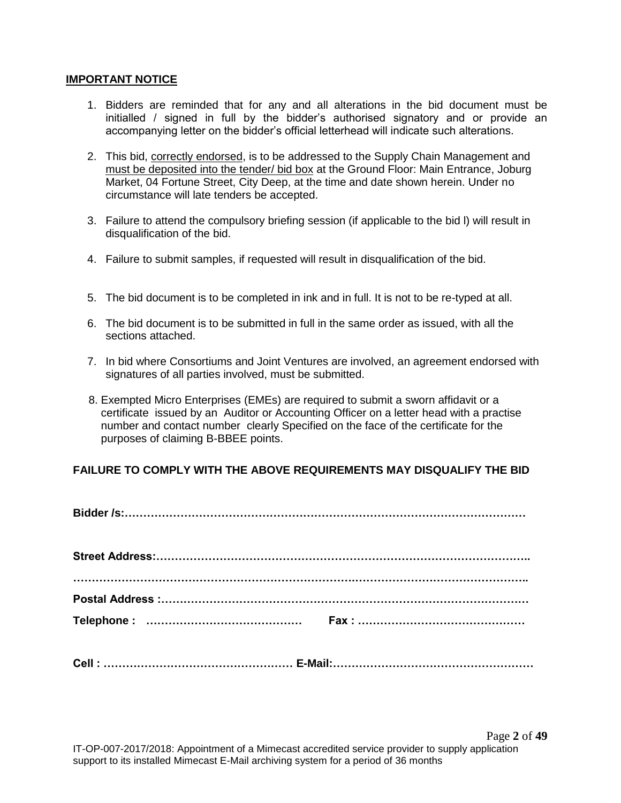#### **IMPORTANT NOTICE**

- 1. Bidders are reminded that for any and all alterations in the bid document must be initialled / signed in full by the bidder's authorised signatory and or provide an accompanying letter on the bidder's official letterhead will indicate such alterations.
- 2. This bid, correctly endorsed, is to be addressed to the Supply Chain Management and must be deposited into the tender/ bid box at the Ground Floor: Main Entrance, Joburg Market, 04 Fortune Street, City Deep, at the time and date shown herein. Under no circumstance will late tenders be accepted.
- 3. Failure to attend the compulsory briefing session (if applicable to the bid l) will result in disqualification of the bid.
- 4. Failure to submit samples, if requested will result in disqualification of the bid.
- 5. The bid document is to be completed in ink and in full. It is not to be re-typed at all.
- 6. The bid document is to be submitted in full in the same order as issued, with all the sections attached.
- 7. In bid where Consortiums and Joint Ventures are involved, an agreement endorsed with signatures of all parties involved, must be submitted.
- 8. Exempted Micro Enterprises (EMEs) are required to submit a sworn affidavit or a certificate issued by an Auditor or Accounting Officer on a letter head with a practise number and contact number clearly Specified on the face of the certificate for the purposes of claiming B-BBEE points.

#### **FAILURE TO COMPLY WITH THE ABOVE REQUIREMENTS MAY DISQUALIFY THE BID**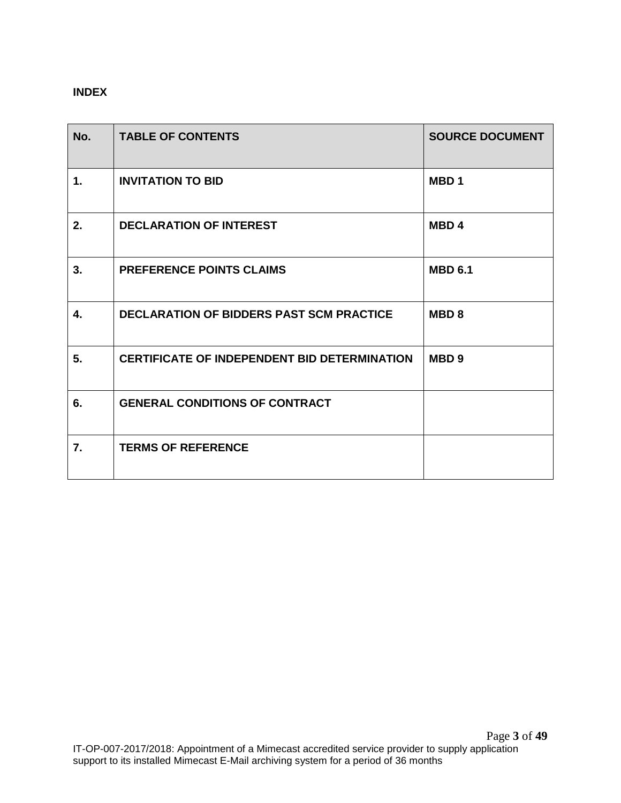# **INDEX**

| No.            | <b>TABLE OF CONTENTS</b>                            | <b>SOURCE DOCUMENT</b> |
|----------------|-----------------------------------------------------|------------------------|
| $\mathbf{1}$ . | <b>INVITATION TO BID</b>                            | MBD <sub>1</sub>       |
| 2.             | <b>DECLARATION OF INTEREST</b>                      | <b>MBD4</b>            |
| 3.             | <b>PREFERENCE POINTS CLAIMS</b>                     | <b>MBD 6.1</b>         |
| 4.             | <b>DECLARATION OF BIDDERS PAST SCM PRACTICE</b>     | MBD <sub>8</sub>       |
| 5.             | <b>CERTIFICATE OF INDEPENDENT BID DETERMINATION</b> | MBD <sub>9</sub>       |
| 6.             | <b>GENERAL CONDITIONS OF CONTRACT</b>               |                        |
| 7.             | <b>TERMS OF REFERENCE</b>                           |                        |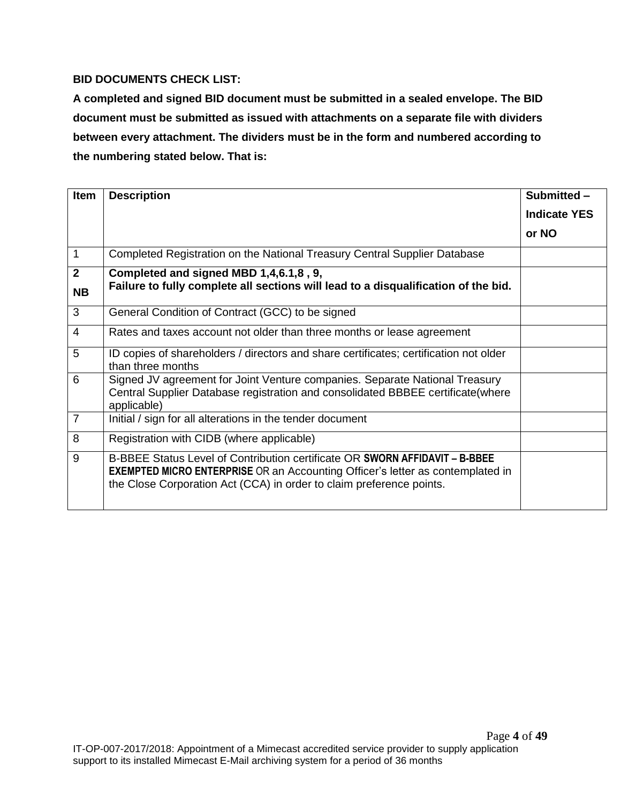## **BID DOCUMENTS CHECK LIST:**

**A completed and signed BID document must be submitted in a sealed envelope. The BID document must be submitted as issued with attachments on a separate file with dividers between every attachment. The dividers must be in the form and numbered according to the numbering stated below. That is:**

| <b>Item</b>                 | <b>Description</b>                                                                                                                                                                                                                                  | Submitted -         |
|-----------------------------|-----------------------------------------------------------------------------------------------------------------------------------------------------------------------------------------------------------------------------------------------------|---------------------|
|                             |                                                                                                                                                                                                                                                     | <b>Indicate YES</b> |
|                             |                                                                                                                                                                                                                                                     | or NO               |
| 1                           | Completed Registration on the National Treasury Central Supplier Database                                                                                                                                                                           |                     |
| $\overline{2}$<br><b>NB</b> | Completed and signed MBD 1,4,6.1,8, 9,<br>Failure to fully complete all sections will lead to a disqualification of the bid.                                                                                                                        |                     |
| 3                           | General Condition of Contract (GCC) to be signed                                                                                                                                                                                                    |                     |
| $\overline{4}$              | Rates and taxes account not older than three months or lease agreement                                                                                                                                                                              |                     |
| 5                           | ID copies of shareholders / directors and share certificates; certification not older<br>than three months                                                                                                                                          |                     |
| 6                           | Signed JV agreement for Joint Venture companies. Separate National Treasury<br>Central Supplier Database registration and consolidated BBBEE certificate (where<br>applicable)                                                                      |                     |
| $\overline{7}$              | Initial / sign for all alterations in the tender document                                                                                                                                                                                           |                     |
| 8                           | Registration with CIDB (where applicable)                                                                                                                                                                                                           |                     |
| 9                           | B-BBEE Status Level of Contribution certificate OR <b>SWORN AFFIDAVIT - B-BBEE</b><br><b>EXEMPTED MICRO ENTERPRISE</b> OR an Accounting Officer's letter as contemplated in<br>the Close Corporation Act (CCA) in order to claim preference points. |                     |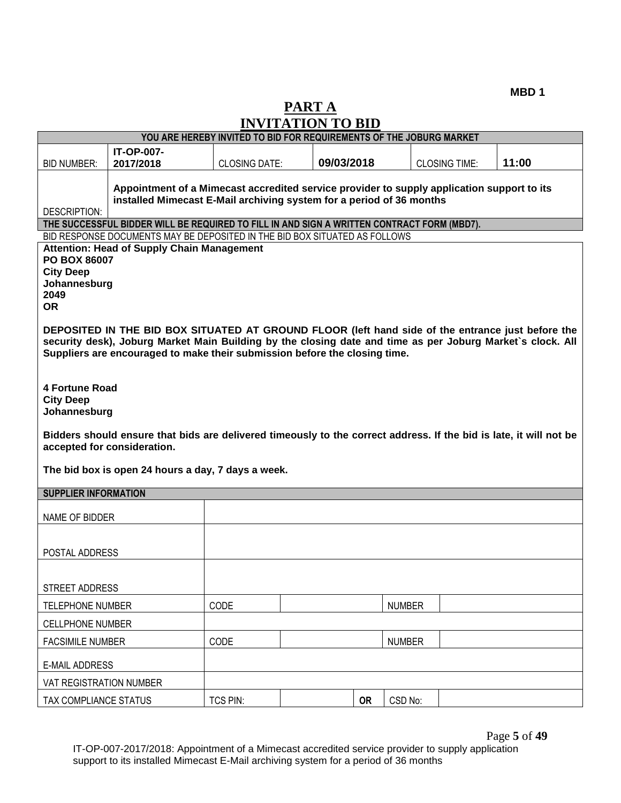# **PART A INVITATION TO BID**

|                                                                       |                                                                                                                                                                                                         | YOU ARE HEREBY INVITED TO BID FOR REQUIREMENTS OF THE JOBURG MARKET |  |            |           |               |                      |       |
|-----------------------------------------------------------------------|---------------------------------------------------------------------------------------------------------------------------------------------------------------------------------------------------------|---------------------------------------------------------------------|--|------------|-----------|---------------|----------------------|-------|
| <b>BID NUMBER:</b>                                                    | <b>IT-OP-007-</b><br>2017/2018                                                                                                                                                                          | <b>CLOSING DATE:</b>                                                |  | 09/03/2018 |           |               | <b>CLOSING TIME:</b> | 11:00 |
| <b>DESCRIPTION:</b>                                                   | Appointment of a Mimecast accredited service provider to supply application support to its<br>installed Mimecast E-Mail archiving system for a period of 36 months                                      |                                                                     |  |            |           |               |                      |       |
|                                                                       | THE SUCCESSFUL BIDDER WILL BE REQUIRED TO FILL IN AND SIGN A WRITTEN CONTRACT FORM (MBD7).                                                                                                              |                                                                     |  |            |           |               |                      |       |
|                                                                       | BID RESPONSE DOCUMENTS MAY BE DEPOSITED IN THE BID BOX SITUATED AS FOLLOWS                                                                                                                              |                                                                     |  |            |           |               |                      |       |
| PO BOX 86007<br><b>City Deep</b><br>Johannesburg<br>2049<br><b>OR</b> | <b>Attention: Head of Supply Chain Management</b><br>DEPOSITED IN THE BID BOX SITUATED AT GROUND FLOOR (left hand side of the entrance just before the                                                  |                                                                     |  |            |           |               |                      |       |
|                                                                       | security desk), Joburg Market Main Building by the closing date and time as per Joburg Market's clock. All<br>Suppliers are encouraged to make their submission before the closing time.                |                                                                     |  |            |           |               |                      |       |
| <b>4 Fortune Road</b><br><b>City Deep</b><br>Johannesburg             |                                                                                                                                                                                                         |                                                                     |  |            |           |               |                      |       |
|                                                                       | Bidders should ensure that bids are delivered timeously to the correct address. If the bid is late, it will not be<br>accepted for consideration.<br>The bid box is open 24 hours a day, 7 days a week. |                                                                     |  |            |           |               |                      |       |
| <b>SUPPLIER INFORMATION</b>                                           |                                                                                                                                                                                                         |                                                                     |  |            |           |               |                      |       |
| NAME OF BIDDER                                                        |                                                                                                                                                                                                         |                                                                     |  |            |           |               |                      |       |
| POSTAL ADDRESS                                                        |                                                                                                                                                                                                         |                                                                     |  |            |           |               |                      |       |
| STREET ADDRESS                                                        |                                                                                                                                                                                                         |                                                                     |  |            |           |               |                      |       |
| TELEPHONE NUMBER                                                      |                                                                                                                                                                                                         | <b>CODE</b>                                                         |  |            |           | <b>NUMBER</b> |                      |       |
| <b>CELLPHONE NUMBER</b>                                               |                                                                                                                                                                                                         |                                                                     |  |            |           |               |                      |       |
| <b>FACSIMILE NUMBER</b>                                               |                                                                                                                                                                                                         | CODE                                                                |  |            |           | <b>NUMBER</b> |                      |       |
| <b>E-MAIL ADDRESS</b>                                                 |                                                                                                                                                                                                         |                                                                     |  |            |           |               |                      |       |
| VAT REGISTRATION NUMBER                                               |                                                                                                                                                                                                         |                                                                     |  |            |           |               |                      |       |
| TAX COMPLIANCE STATUS                                                 |                                                                                                                                                                                                         | <b>TCS PIN:</b>                                                     |  |            | <b>OR</b> | CSD No:       |                      |       |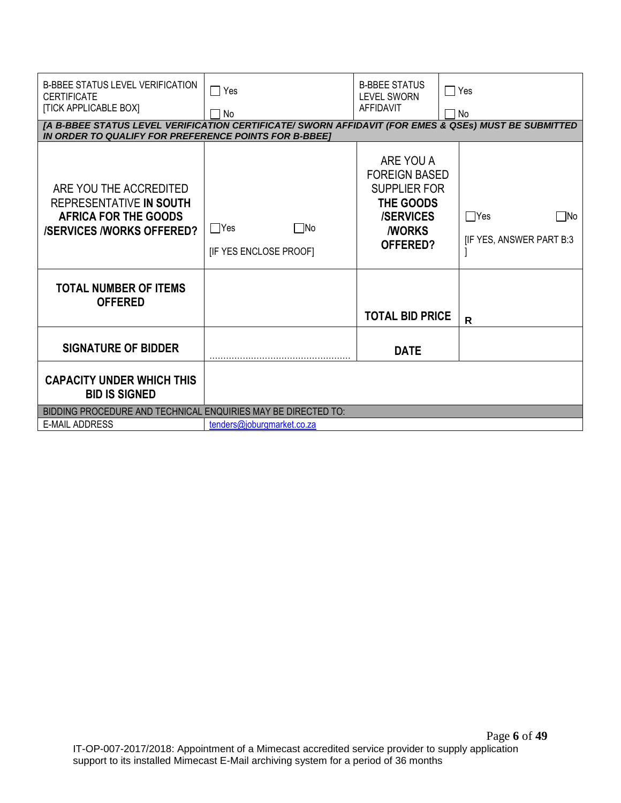| <b>B-BBEE STATUS LEVEL VERIFICATION</b><br><b>CERTIFICATE</b><br><b>[TICK APPLICABLE BOX]</b><br>[A B-BBEE STATUS LEVEL VERIFICATION CERTIFICATE/ SWORN AFFIDAVIT (FOR EMES & QSEs) MUST BE SUBMITTED<br>IN ORDER TO QUALIFY FOR PREFERENCE POINTS FOR B-BBEET | $\Box$ Yes<br>No                                  | <b>B-BBEE STATUS</b><br><b>LEVEL SWORN</b><br>AFFIDAVIT                                                                       | $\sqsupset$ Yes<br>No                           |
|----------------------------------------------------------------------------------------------------------------------------------------------------------------------------------------------------------------------------------------------------------------|---------------------------------------------------|-------------------------------------------------------------------------------------------------------------------------------|-------------------------------------------------|
| ARE YOU THE ACCREDITED<br>REPRESENTATIVE IN SOUTH<br><b>AFRICA FOR THE GOODS</b><br><b>/SERVICES /WORKS OFFERED?</b>                                                                                                                                           | $\Box$ Yes<br>$\Box$ No<br>[IF YES ENCLOSE PROOF] | ARE YOU A<br><b>FOREIGN BASED</b><br><b>SUPPLIER FOR</b><br>THE GOODS<br><b>/SERVICES</b><br><b><i>I</i>WORKS</b><br>OFFERED? | $\Box$ Yes<br>. INo<br>[IF YES, ANSWER PART B:3 |
| <b>TOTAL NUMBER OF ITEMS</b><br><b>OFFERED</b>                                                                                                                                                                                                                 |                                                   | <b>TOTAL BID PRICE</b>                                                                                                        | R                                               |
| <b>SIGNATURE OF BIDDER</b>                                                                                                                                                                                                                                     |                                                   | <b>DATE</b>                                                                                                                   |                                                 |
| <b>CAPACITY UNDER WHICH THIS</b><br><b>BID IS SIGNED</b>                                                                                                                                                                                                       |                                                   |                                                                                                                               |                                                 |
| BIDDING PROCEDURE AND TECHNICAL ENQUIRIES MAY BE DIRECTED TO:                                                                                                                                                                                                  |                                                   |                                                                                                                               |                                                 |
| <b>E-MAIL ADDRESS</b>                                                                                                                                                                                                                                          | tenders@joburgmarket.co.za                        |                                                                                                                               |                                                 |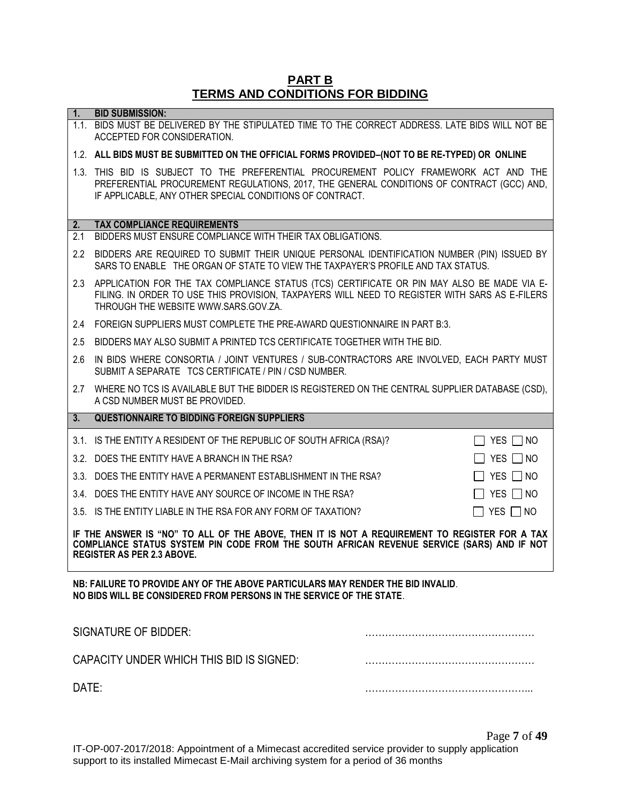#### **PART B TERMS AND CONDITIONS FOR BIDDING**

|                                                                                                                                                                                                                                  | <b>I ERMS AND CONDITIONS FOR BIDDING</b>                                                                                                                                                                                                       |                      |  |
|----------------------------------------------------------------------------------------------------------------------------------------------------------------------------------------------------------------------------------|------------------------------------------------------------------------------------------------------------------------------------------------------------------------------------------------------------------------------------------------|----------------------|--|
| 1.                                                                                                                                                                                                                               | <b>BID SUBMISSION:</b>                                                                                                                                                                                                                         |                      |  |
|                                                                                                                                                                                                                                  | 1.1. BIDS MUST BE DELIVERED BY THE STIPULATED TIME TO THE CORRECT ADDRESS. LATE BIDS WILL NOT BE<br>ACCEPTED FOR CONSIDERATION.                                                                                                                |                      |  |
|                                                                                                                                                                                                                                  | 1.2. ALL BIDS MUST BE SUBMITTED ON THE OFFICIAL FORMS PROVIDED-(NOT TO BE RE-TYPED) OR ONLINE                                                                                                                                                  |                      |  |
|                                                                                                                                                                                                                                  | 1.3. THIS BID IS SUBJECT TO THE PREFERENTIAL PROCUREMENT POLICY FRAMEWORK ACT AND THE<br>PREFERENTIAL PROCUREMENT REGULATIONS, 2017, THE GENERAL CONDITIONS OF CONTRACT (GCC) AND,<br>IF APPLICABLE, ANY OTHER SPECIAL CONDITIONS OF CONTRACT. |                      |  |
| 2.                                                                                                                                                                                                                               | <b>TAX COMPLIANCE REQUIREMENTS</b>                                                                                                                                                                                                             |                      |  |
| 2.1                                                                                                                                                                                                                              | BIDDERS MUST ENSURE COMPLIANCE WITH THEIR TAX OBLIGATIONS.                                                                                                                                                                                     |                      |  |
| $2.2^{\circ}$                                                                                                                                                                                                                    | BIDDERS ARE REQUIRED TO SUBMIT THEIR UNIQUE PERSONAL IDENTIFICATION NUMBER (PIN) ISSUED BY<br>SARS TO ENABLE THE ORGAN OF STATE TO VIEW THE TAXPAYER'S PROFILE AND TAX STATUS.                                                                 |                      |  |
|                                                                                                                                                                                                                                  | 2.3 APPLICATION FOR THE TAX COMPLIANCE STATUS (TCS) CERTIFICATE OR PIN MAY ALSO BE MADE VIA E-<br>FILING. IN ORDER TO USE THIS PROVISION, TAXPAYERS WILL NEED TO REGISTER WITH SARS AS E-FILERS<br>THROUGH THE WEBSITE WWW.SARS.GOV.ZA.        |                      |  |
| 2.4                                                                                                                                                                                                                              | FOREIGN SUPPLIERS MUST COMPLETE THE PRE-AWARD QUESTIONNAIRE IN PART B:3.                                                                                                                                                                       |                      |  |
| 2.5                                                                                                                                                                                                                              | BIDDERS MAY ALSO SUBMIT A PRINTED TCS CERTIFICATE TOGETHER WITH THE BID.                                                                                                                                                                       |                      |  |
| 2.6                                                                                                                                                                                                                              | IN BIDS WHERE CONSORTIA / JOINT VENTURES / SUB-CONTRACTORS ARE INVOLVED, EACH PARTY MUST<br>SUBMIT A SEPARATE TCS CERTIFICATE / PIN / CSD NUMBER.                                                                                              |                      |  |
|                                                                                                                                                                                                                                  | 2.7 WHERE NO TCS IS AVAILABLE BUT THE BIDDER IS REGISTERED ON THE CENTRAL SUPPLIER DATABASE (CSD),<br>A CSD NUMBER MUST BE PROVIDED.                                                                                                           |                      |  |
| 3.                                                                                                                                                                                                                               | <b>QUESTIONNAIRE TO BIDDING FOREIGN SUPPLIERS</b>                                                                                                                                                                                              |                      |  |
|                                                                                                                                                                                                                                  | 3.1. IS THE ENTITY A RESIDENT OF THE REPUBLIC OF SOUTH AFRICA (RSA)?                                                                                                                                                                           | $\Box$ YES $\Box$ NO |  |
|                                                                                                                                                                                                                                  | 3.2. DOES THE ENTITY HAVE A BRANCH IN THE RSA?                                                                                                                                                                                                 | $\Box$ YES $\Box$ NO |  |
|                                                                                                                                                                                                                                  | 3.3. DOES THE ENTITY HAVE A PERMANENT ESTABLISHMENT IN THE RSA?                                                                                                                                                                                | $\Box$ YES $\Box$ NO |  |
|                                                                                                                                                                                                                                  | 3.4. DOES THE ENTITY HAVE ANY SOURCE OF INCOME IN THE RSA?                                                                                                                                                                                     | YES $\Box$ NO        |  |
|                                                                                                                                                                                                                                  | 3.5. IS THE ENTITY LIABLE IN THE RSA FOR ANY FORM OF TAXATION?                                                                                                                                                                                 | $\Box$ YES $\Box$ NO |  |
| IF THE ANSWER IS "NO" TO ALL OF THE ABOVE, THEN IT IS NOT A REQUIREMENT TO REGISTER FOR A TAX<br>COMPLIANCE STATUS SYSTEM PIN CODE FROM THE SOUTH AFRICAN REVENUE SERVICE (SARS) AND IF NOT<br><b>REGISTER AS PER 2.3 ABOVE.</b> |                                                                                                                                                                                                                                                |                      |  |
|                                                                                                                                                                                                                                  | NB: FAILURE TO PROVIDE ANY OF THE ABOVE PARTICULARS MAY RENDER THE BID INVALID.<br>NO BIDS WILL BE CONSIDERED FROM PERSONS IN THE SERVICE OF THE STATE.                                                                                        |                      |  |
|                                                                                                                                                                                                                                  | <b>SIGNATURE OF BIDDER:</b>                                                                                                                                                                                                                    |                      |  |
|                                                                                                                                                                                                                                  | CAPACITY UNDER WHICH THIS BID IS SIGNED:                                                                                                                                                                                                       |                      |  |
| DATE:                                                                                                                                                                                                                            |                                                                                                                                                                                                                                                |                      |  |

Page **7** of **49**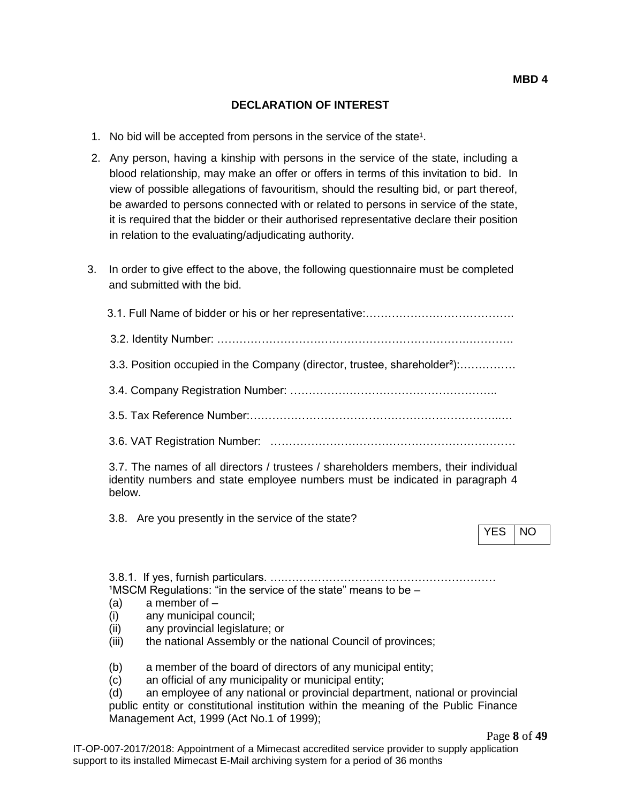#### **DECLARATION OF INTEREST**

- 1. No bid will be accepted from persons in the service of the state<sup>1</sup>.
- 2. Any person, having a kinship with persons in the service of the state, including a blood relationship, may make an offer or offers in terms of this invitation to bid. In view of possible allegations of favouritism, should the resulting bid, or part thereof, be awarded to persons connected with or related to persons in service of the state, it is required that the bidder or their authorised representative declare their position in relation to the evaluating/adjudicating authority.
- 3. In order to give effect to the above, the following questionnaire must be completed and submitted with the bid.

| 3.3. Position occupied in the Company (director, trustee, shareholder <sup>2</sup> ):                                                                                         |            |           |
|-------------------------------------------------------------------------------------------------------------------------------------------------------------------------------|------------|-----------|
|                                                                                                                                                                               |            |           |
|                                                                                                                                                                               |            |           |
|                                                                                                                                                                               |            |           |
| 3.7. The names of all directors / trustees / shareholders members, their individual<br>identity numbers and state employee numbers must be indicated in paragraph 4<br>below. |            |           |
| 3.8. Are you presently in the service of the state?                                                                                                                           | <b>YES</b> | <b>NO</b> |
|                                                                                                                                                                               |            |           |

 $1$ MSCM Regulations: "in the service of the state" means to be  $-$ 

- $(a)$  a member of  $-$
- (i) any municipal council;
- (ii) any provincial legislature; or
- (iii) the national Assembly or the national Council of provinces;
- (b) a member of the board of directors of any municipal entity;
- (c) an official of any municipality or municipal entity;

(d) an employee of any national or provincial department, national or provincial public entity or constitutional institution within the meaning of the Public Finance Management Act, 1999 (Act No.1 of 1999);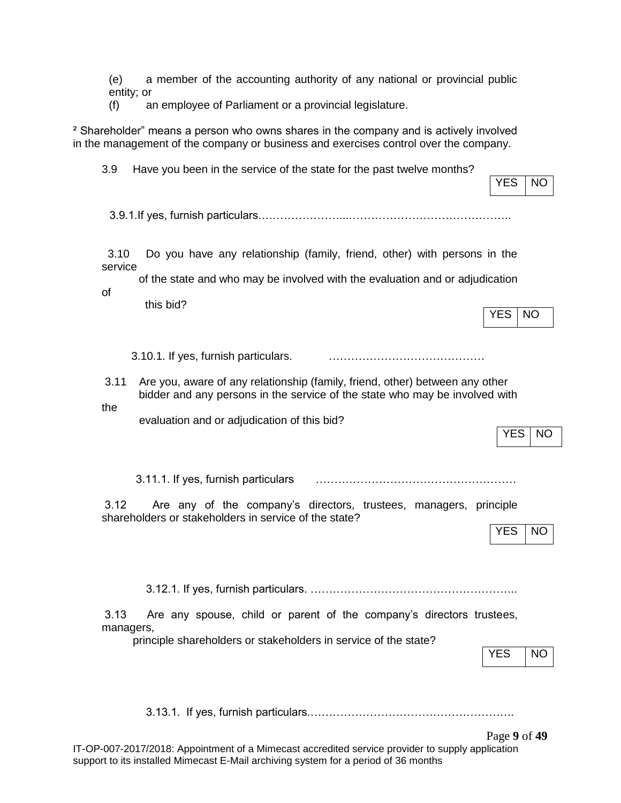(e) a member of the accounting authority of any national or provincial public entity; or

(f) an employee of Parliament or a provincial legislature.

² Shareholder" means a person who owns shares in the company and is actively involved in the management of the company or business and exercises control over the company.

| 3.9                   | Have you been in the service of the state for the past twelve months?                                                                                                 | <b>YES</b><br>NO        |
|-----------------------|-----------------------------------------------------------------------------------------------------------------------------------------------------------------------|-------------------------|
|                       |                                                                                                                                                                       |                         |
| 3.10<br>service<br>of | Do you have any relationship (family, friend, other) with persons in the<br>of the state and who may be involved with the evaluation and or adjudication<br>this bid? | <b>YES</b><br><b>NO</b> |
|                       | 3.10.1. If yes, furnish particulars.                                                                                                                                  |                         |
| 3.11<br>the           | Are you, aware of any relationship (family, friend, other) between any other<br>bidder and any persons in the service of the state who may be involved with           |                         |
|                       | evaluation and or adjudication of this bid?                                                                                                                           | <b>YES</b><br><b>NO</b> |
|                       | 3.11.1. If yes, furnish particulars                                                                                                                                   |                         |
| 3.12                  | Are any of the company's directors, trustees, managers, principle<br>shareholders or stakeholders in service of the state?                                            | <b>YES</b><br><b>NO</b> |
|                       |                                                                                                                                                                       |                         |
| 3.13<br>managers,     | Are any spouse, child or parent of the company's directors trustees,                                                                                                  |                         |
|                       | principle shareholders or stakeholders in service of the state?                                                                                                       | <b>YES</b><br><b>NO</b> |
|                       |                                                                                                                                                                       |                         |
|                       |                                                                                                                                                                       | Page 9 of 49            |

IT-OP-007-2017/2018: Appointment of a Mimecast accredited service provider to supply application support to its installed Mimecast E-Mail archiving system for a period of 36 months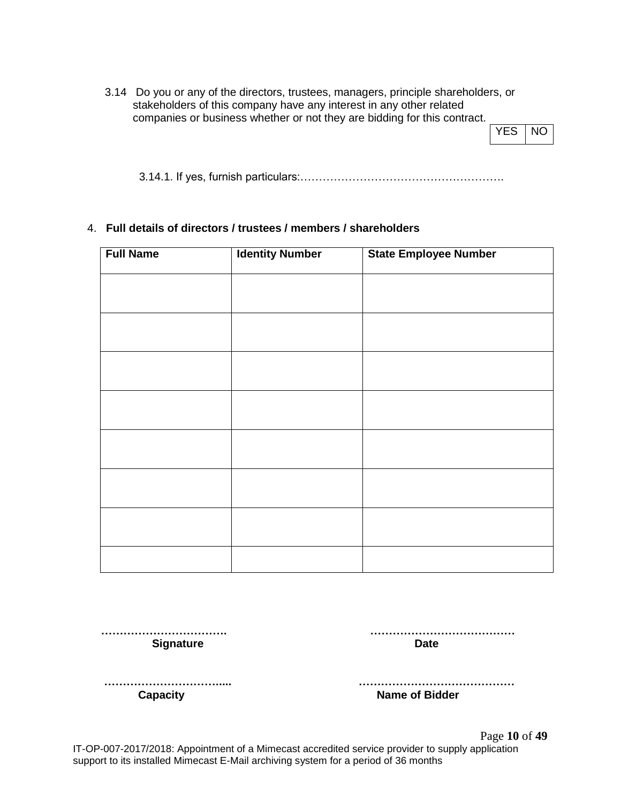3.14 Do you or any of the directors, trustees, managers, principle shareholders, or stakeholders of this company have any interest in any other related companies or business whether or not they are bidding for this contract.

| Y | NC. |
|---|-----|
|---|-----|

3.14.1. If yes, furnish particulars:……………………………………………….

#### 4. **Full details of directors / trustees / members / shareholders**

| <b>Full Name</b> | <b>Identity Number</b> | <b>State Employee Number</b> |
|------------------|------------------------|------------------------------|
|                  |                        |                              |
|                  |                        |                              |
|                  |                        |                              |
|                  |                        |                              |
|                  |                        |                              |
|                  |                        |                              |
|                  |                        |                              |
|                  |                        |                              |
|                  |                        |                              |

 **……………………………. ………………………………… Signature Date** 

 **…………………………..... ……………………………………**

**Capacity Capacity Name of Bidder** 

Page **10** of **49** IT-OP-007-2017/2018: Appointment of a Mimecast accredited service provider to supply application support to its installed Mimecast E-Mail archiving system for a period of 36 months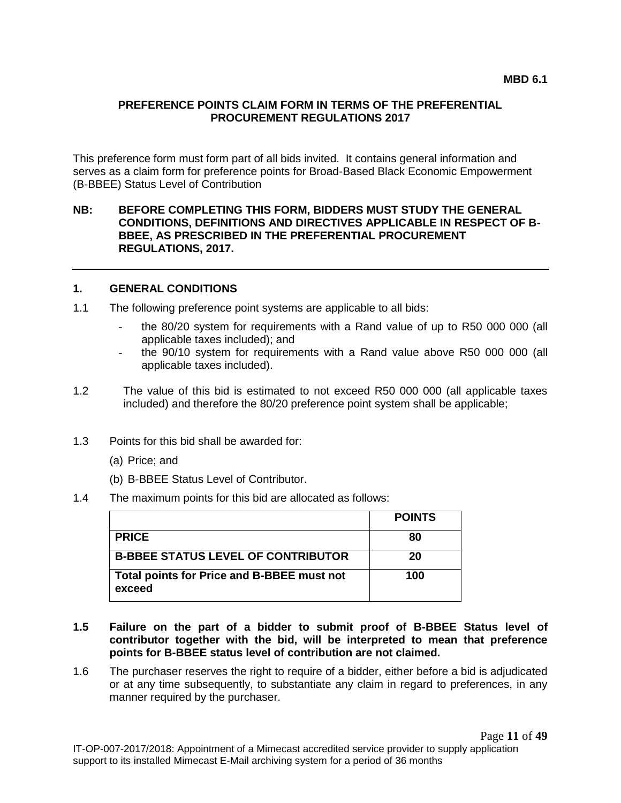#### **PREFERENCE POINTS CLAIM FORM IN TERMS OF THE PREFERENTIAL PROCUREMENT REGULATIONS 2017**

This preference form must form part of all bids invited. It contains general information and serves as a claim form for preference points for Broad-Based Black Economic Empowerment (B-BBEE) Status Level of Contribution

#### **NB: BEFORE COMPLETING THIS FORM, BIDDERS MUST STUDY THE GENERAL CONDITIONS, DEFINITIONS AND DIRECTIVES APPLICABLE IN RESPECT OF B-BBEE, AS PRESCRIBED IN THE PREFERENTIAL PROCUREMENT REGULATIONS, 2017.**

#### **1. GENERAL CONDITIONS**

- 1.1 The following preference point systems are applicable to all bids:
	- the 80/20 system for requirements with a Rand value of up to R50 000 000 (all applicable taxes included); and
	- the 90/10 system for requirements with a Rand value above R50 000 000 (all applicable taxes included).
- 1.2 The value of this bid is estimated to not exceed R50 000 000 (all applicable taxes included) and therefore the 80/20 preference point system shall be applicable;
- 1.3 Points for this bid shall be awarded for:
	- (a) Price; and
	- (b) B-BBEE Status Level of Contributor.
- 1.4 The maximum points for this bid are allocated as follows:

|                                                      | <b>POINTS</b> |
|------------------------------------------------------|---------------|
| <b>PRICE</b>                                         | 80            |
| <b>B-BBEE STATUS LEVEL OF CONTRIBUTOR</b>            | 20            |
| Total points for Price and B-BBEE must not<br>exceed | 100           |

- **1.5 Failure on the part of a bidder to submit proof of B-BBEE Status level of contributor together with the bid, will be interpreted to mean that preference points for B-BBEE status level of contribution are not claimed.**
- 1.6 The purchaser reserves the right to require of a bidder, either before a bid is adjudicated or at any time subsequently, to substantiate any claim in regard to preferences, in any manner required by the purchaser.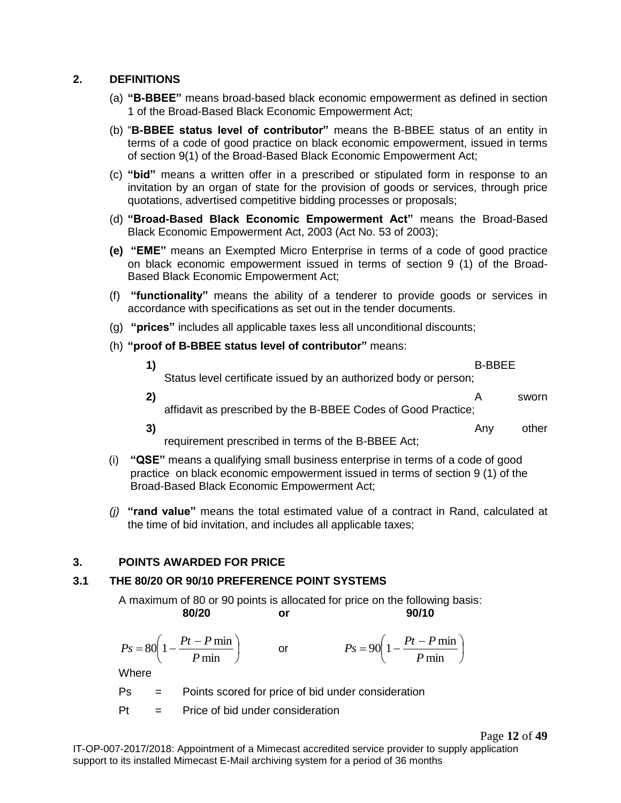#### **2. DEFINITIONS**

- (a) **"B-BBEE"** means broad-based black economic empowerment as defined in section 1 of the Broad-Based Black Economic Empowerment Act;
- (b) "**B-BBEE status level of contributor"** means the B-BBEE status of an entity in terms of a code of good practice on black economic empowerment, issued in terms of section 9(1) of the Broad-Based Black Economic Empowerment Act;
- (c) **"bid"** means a written offer in a prescribed or stipulated form in response to an invitation by an organ of state for the provision of goods or services, through price quotations, advertised competitive bidding processes or proposals;
- (d) **"Broad-Based Black Economic Empowerment Act"** means the Broad-Based Black Economic Empowerment Act, 2003 (Act No. 53 of 2003);
- **(e) "EME"** means an Exempted Micro Enterprise in terms of a code of good practice on black economic empowerment issued in terms of section 9 (1) of the Broad-Based Black Economic Empowerment Act;
- (f) **"functionality"** means the ability of a tenderer to provide goods or services in accordance with specifications as set out in the tender documents.
- (g) **"prices"** includes all applicable taxes less all unconditional discounts;
- (h) **"proof of B-BBEE status level of contributor"** means:

| $\vert$ 1)   |                                                                  | <b>B-BBFF</b> |       |
|--------------|------------------------------------------------------------------|---------------|-------|
|              | Status level certificate issued by an authorized body or person; |               |       |
| $\mathbf{2}$ |                                                                  |               | sworn |
|              | affidavit as prescribed by the B-BBEE Codes of Good Practice;    |               |       |

**3)** Any other

requirement prescribed in terms of the B-BBEE Act;

- (i) **"QSE"** means a qualifying small business enterprise in terms of a code of good practice on black economic empowerment issued in terms of section 9 (1) of the Broad-Based Black Economic Empowerment Act;
- *(j)* **"rand value"** means the total estimated value of a contract in Rand, calculated at the time of bid invitation, and includes all applicable taxes;

#### **3. POINTS AWARDED FOR PRICE**

#### **3.1 THE 80/20 OR 90/10 PREFERENCE POINT SYSTEMS**

A maximum of 80 or 90 points is allocated for price on the following basis: **80/20 or 90/10**

$$
Ps = 80\left(1 - \frac{Pt - P \min}{P \min}\right) \qquad \text{or} \qquad \qquad Ps = 90\left(1 - \frac{Pt - P \min}{P \min}\right)
$$
  
Where  
Ps = Points scored for price of bid under consideration

 $Pt =$  Price of bid under consideration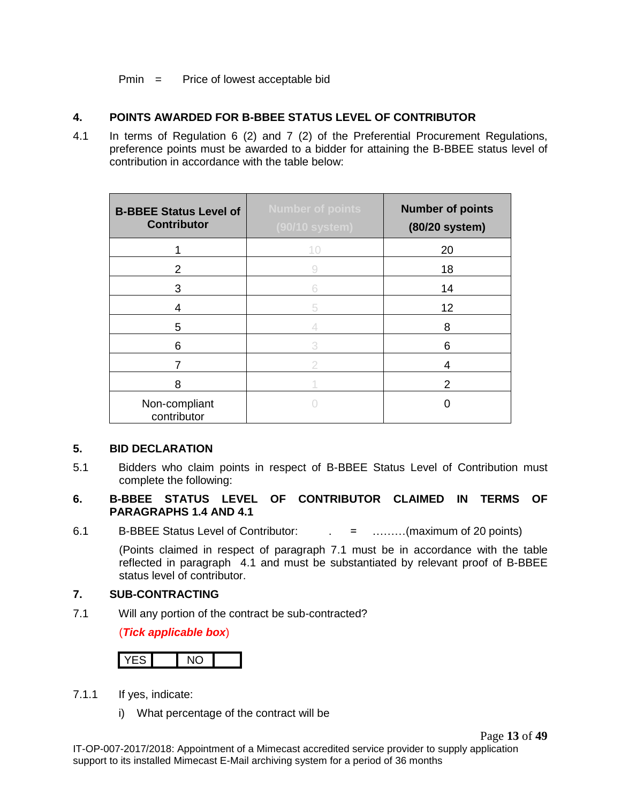#### Pmin = Price of lowest acceptable bid

#### **4. POINTS AWARDED FOR B-BBEE STATUS LEVEL OF CONTRIBUTOR**

4.1 In terms of Regulation 6 (2) and 7 (2) of the Preferential Procurement Regulations, preference points must be awarded to a bidder for attaining the B-BBEE status level of contribution in accordance with the table below:

| <b>B-BBEE Status Level of</b><br><b>Contributor</b> | <b>Number of points</b><br>(90/10 system) | <b>Number of points</b><br>(80/20 system) |
|-----------------------------------------------------|-------------------------------------------|-------------------------------------------|
|                                                     | 10                                        | 20                                        |
| 2                                                   | 9                                         | 18                                        |
| 3                                                   | 6                                         | 14                                        |
| 4                                                   | 5                                         | 12                                        |
| 5                                                   |                                           | 8                                         |
| 6                                                   | 3                                         | 6                                         |
|                                                     | 2                                         | 4                                         |
| 8                                                   |                                           | 2                                         |
| Non-compliant<br>contributor                        |                                           |                                           |

#### **5. BID DECLARATION**

5.1 Bidders who claim points in respect of B-BBEE Status Level of Contribution must complete the following:

#### **6. B-BBEE STATUS LEVEL OF CONTRIBUTOR CLAIMED IN TERMS OF PARAGRAPHS 1.4 AND 4.1**

6.1 B-BBEE Status Level of Contributor: . = ………(maximum of 20 points)

(Points claimed in respect of paragraph 7.1 must be in accordance with the table reflected in paragraph 4.1 and must be substantiated by relevant proof of B-BBEE status level of contributor.

#### **7. SUB-CONTRACTING**

7.1 Will any portion of the contract be sub-contracted?

#### (*Tick applicable box*)

- 7.1.1 If yes, indicate:
	- i) What percentage of the contract will be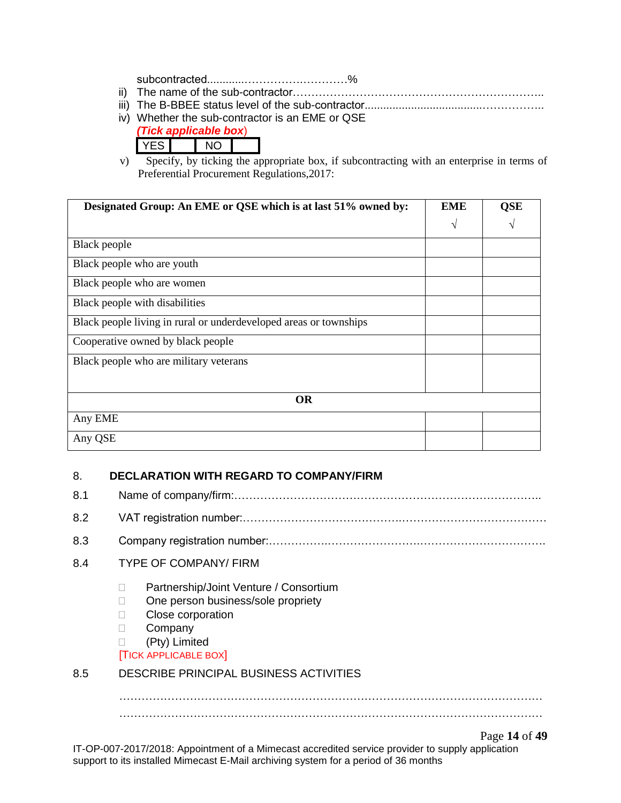subcontracted............…………….…………%

- ii) The name of the sub-contractor…………………………………………………………..
- iii) The B-BBEE status level of the sub-contractor......................................……………..
- iv) Whether the sub-contractor is an EME or QSE
	- *(Tick applicable box*)

| ا ب<br>- |
|----------|
|----------|

v) Specify, by ticking the appropriate box, if subcontracting with an enterprise in terms of Preferential Procurement Regulations,2017:

| Designated Group: An EME or QSE which is at last 51% owned by:    | <b>EME</b> | <b>QSE</b> |
|-------------------------------------------------------------------|------------|------------|
|                                                                   | V          | $\sqrt{}$  |
| Black people                                                      |            |            |
| Black people who are youth                                        |            |            |
| Black people who are women                                        |            |            |
| Black people with disabilities                                    |            |            |
| Black people living in rural or underdeveloped areas or townships |            |            |
| Cooperative owned by black people                                 |            |            |
| Black people who are military veterans                            |            |            |
|                                                                   |            |            |
| <b>OR</b>                                                         |            |            |
| Any EME                                                           |            |            |
| Any QSE                                                           |            |            |

## 8. **DECLARATION WITH REGARD TO COMPANY/FIRM**

Page **14** of **49** IT-OP-007-2017/2018: Appointment of a Mimecast accredited service provider to supply application support to its installed Mimecast E-Mail archiving system for a period of 36 months 8.1 Name of company/firm:……………………………………………………………………….. 8.2 VAT registration number:…………………………………….………………………………… 8.3 Company registration number:…………….…………………….……………………………. 8.4 TYPE OF COMPANY/ FIRM □ Partnership/Joint Venture / Consortium □ One person business/sole propriety D Close corporation **Company**  (Pty) Limited [TICK APPLICABLE BOX] 8.5 DESCRIBE PRINCIPAL BUSINESS ACTIVITIES …………………………………………………………………………………………………… ……………………………………………………………………………………………………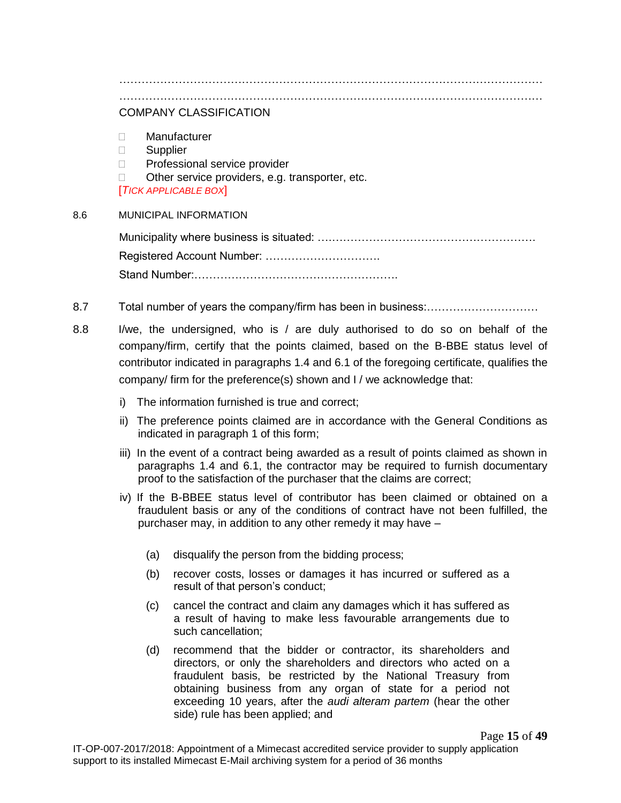…………………………………………………………………………………………………… ……………………………………………………………………………………………………

## COMPANY CLASSIFICATION

- Manufacturer
- **Supplier**
- □ Professional service provider
- $\Box$  Other service providers, e.g. transporter, etc.

[*TICK APPLICABLE BOX*]

#### 8.6 MUNICIPAL INFORMATION

Municipality where business is situated: ….………………………………………………. Registered Account Number: …………………………. Stand Number:……………………………………………….

- 8.7 Total number of years the company/firm has been in business:…………………………
- 8.8 I/we, the undersigned, who is / are duly authorised to do so on behalf of the company/firm, certify that the points claimed, based on the B-BBE status level of contributor indicated in paragraphs 1.4 and 6.1 of the foregoing certificate, qualifies the company/ firm for the preference(s) shown and I / we acknowledge that:
	- i) The information furnished is true and correct;
	- ii) The preference points claimed are in accordance with the General Conditions as indicated in paragraph 1 of this form;
	- iii) In the event of a contract being awarded as a result of points claimed as shown in paragraphs 1.4 and 6.1, the contractor may be required to furnish documentary proof to the satisfaction of the purchaser that the claims are correct;
	- iv) If the B-BBEE status level of contributor has been claimed or obtained on a fraudulent basis or any of the conditions of contract have not been fulfilled, the purchaser may, in addition to any other remedy it may have –
		- (a) disqualify the person from the bidding process;
		- (b) recover costs, losses or damages it has incurred or suffered as a result of that person's conduct;
		- (c) cancel the contract and claim any damages which it has suffered as a result of having to make less favourable arrangements due to such cancellation;
		- (d) recommend that the bidder or contractor, its shareholders and directors, or only the shareholders and directors who acted on a fraudulent basis, be restricted by the National Treasury from obtaining business from any organ of state for a period not exceeding 10 years, after the *audi alteram partem* (hear the other side) rule has been applied; and

Page **15** of **49**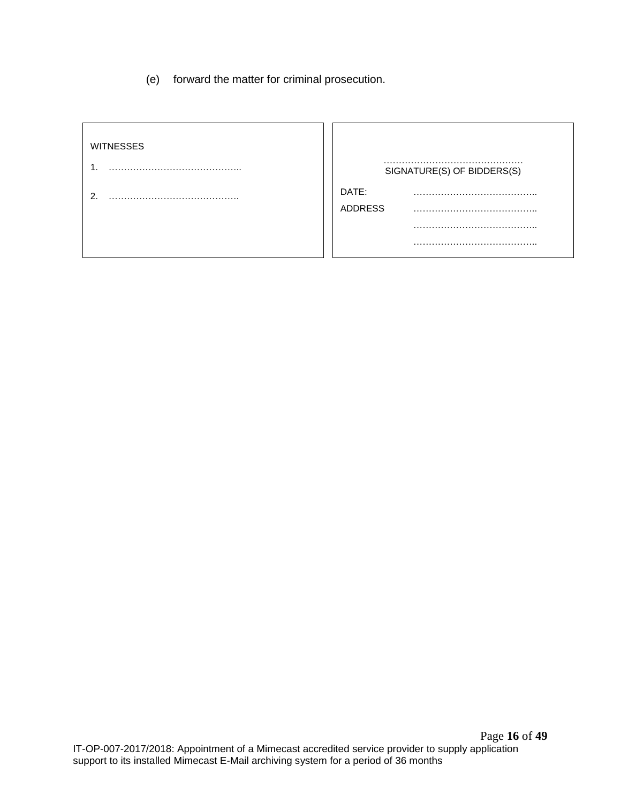(e) forward the matter for criminal prosecution.

| <b>WITNESSES</b> |                |                            |
|------------------|----------------|----------------------------|
|                  |                | SIGNATURE(S) OF BIDDERS(S) |
| ົ                | DATE:          |                            |
|                  | <b>ADDRESS</b> |                            |
|                  |                |                            |
|                  |                |                            |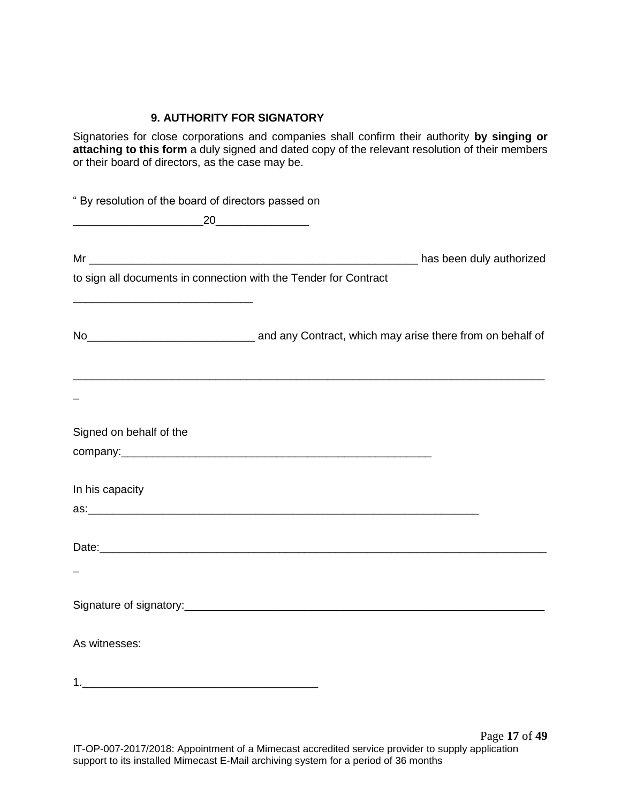#### **9. AUTHORITY FOR SIGNATORY**

Signatories for close corporations and companies shall confirm their authority **by singing or attaching to this form** a duly signed and dated copy of the relevant resolution of their members or their board of directors, as the case may be.

| " By resolution of the board of directors passed on              |                                                                                                            |
|------------------------------------------------------------------|------------------------------------------------------------------------------------------------------------|
| $\overbrace{\hspace{2.5cm}20}$                                   |                                                                                                            |
|                                                                  |                                                                                                            |
| to sign all documents in connection with the Tender for Contract |                                                                                                            |
|                                                                  | No <sub>__________________________________</sub> and any Contract, which may arise there from on behalf of |
|                                                                  | ,我们也不能在这里的人,我们也不能在这里的人,我们也不能在这里的人,我们也不能在这里的人,我们也不能在这里的人,我们也不能在这里的人,我们也不能在这里的人,我们                           |
| Signed on behalf of the                                          |                                                                                                            |
|                                                                  |                                                                                                            |
| In his capacity                                                  |                                                                                                            |
|                                                                  |                                                                                                            |
|                                                                  |                                                                                                            |
|                                                                  |                                                                                                            |
|                                                                  |                                                                                                            |
| As witnesses:                                                    |                                                                                                            |
|                                                                  |                                                                                                            |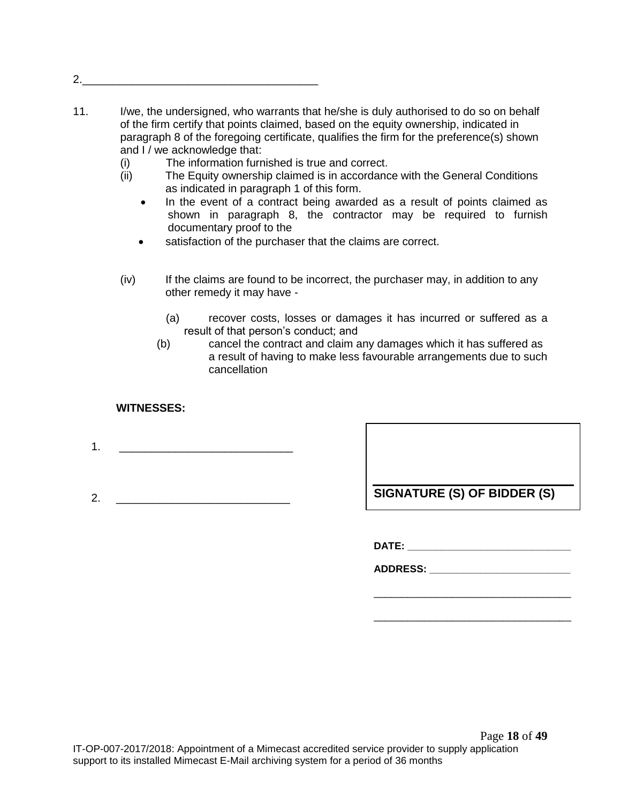2.

- 11. I/we, the undersigned, who warrants that he/she is duly authorised to do so on behalf of the firm certify that points claimed, based on the equity ownership, indicated in paragraph 8 of the foregoing certificate, qualifies the firm for the preference(s) shown and I / we acknowledge that:
	- (i) The information furnished is true and correct.
	- (ii) The Equity ownership claimed is in accordance with the General Conditions as indicated in paragraph 1 of this form.
		- In the event of a contract being awarded as a result of points claimed as shown in paragraph 8, the contractor may be required to furnish documentary proof to the
		- satisfaction of the purchaser that the claims are correct.
	- (iv) If the claims are found to be incorrect, the purchaser may, in addition to any other remedy it may have -
		- (a) recover costs, losses or damages it has incurred or suffered as a result of that person's conduct; and
		- (b) cancel the contract and claim any damages which it has suffered as a result of having to make less favourable arrangements due to such cancellation

#### **WITNESSES:**

- 1. \_\_\_\_\_\_\_\_\_\_\_\_\_\_\_\_\_\_\_\_\_\_\_\_\_\_\_\_
- 2. \_\_\_\_\_\_\_\_\_\_\_\_\_\_\_\_\_\_\_\_\_\_\_\_\_\_\_\_ **SIGNATURE (S) OF BIDDER (S)**

**DATE: \_\_\_\_\_\_\_\_\_\_\_\_\_\_\_\_\_\_\_\_\_\_\_\_\_\_\_\_\_**

**ADDRESS: \_\_\_\_\_\_\_\_\_\_\_\_\_\_\_\_\_\_\_\_\_\_\_\_\_**

\_\_\_\_\_\_\_\_\_\_\_\_\_\_\_\_\_\_\_\_\_\_\_\_\_\_\_\_\_\_\_\_\_\_\_

\_\_\_\_\_\_\_\_\_\_\_\_\_\_\_\_\_\_\_\_\_\_\_\_\_\_\_\_\_\_\_\_\_\_\_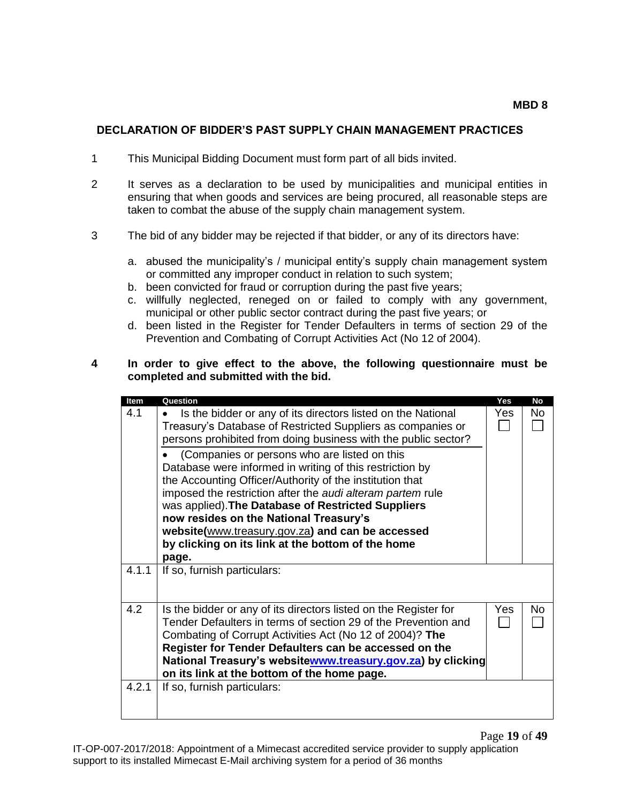Page **19** of **49**

#### **DECLARATION OF BIDDER'S PAST SUPPLY CHAIN MANAGEMENT PRACTICES**

- 1 This Municipal Bidding Document must form part of all bids invited.
- 2 It serves as a declaration to be used by municipalities and municipal entities in ensuring that when goods and services are being procured, all reasonable steps are taken to combat the abuse of the supply chain management system.
- 3 The bid of any bidder may be rejected if that bidder, or any of its directors have:
	- a. abused the municipality's / municipal entity's supply chain management system or committed any improper conduct in relation to such system;
	- b. been convicted for fraud or corruption during the past five years;
	- c. willfully neglected, reneged on or failed to comply with any government, municipal or other public sector contract during the past five years; or
	- d. been listed in the Register for Tender Defaulters in terms of section 29 of the Prevention and Combating of Corrupt Activities Act (No 12 of 2004).

#### **4 In order to give effect to the above, the following questionnaire must be completed and submitted with the bid.**

| Item  | Question                                                                                                                                                                                                                                                                                                                                                                                                                                                    | <b>Yes</b> | <b>No</b> |
|-------|-------------------------------------------------------------------------------------------------------------------------------------------------------------------------------------------------------------------------------------------------------------------------------------------------------------------------------------------------------------------------------------------------------------------------------------------------------------|------------|-----------|
| 4.1   | Is the bidder or any of its directors listed on the National<br>$\bullet$<br>Treasury's Database of Restricted Suppliers as companies or<br>persons prohibited from doing business with the public sector?                                                                                                                                                                                                                                                  | Yes        | No        |
|       | (Companies or persons who are listed on this<br>Database were informed in writing of this restriction by<br>the Accounting Officer/Authority of the institution that<br>imposed the restriction after the <i>audi alteram partem</i> rule<br>was applied). The Database of Restricted Suppliers<br>now resides on the National Treasury's<br>website(www.treasury.gov.za) and can be accessed<br>by clicking on its link at the bottom of the home<br>page. |            |           |
| 4.1.1 | If so, furnish particulars:                                                                                                                                                                                                                                                                                                                                                                                                                                 |            |           |
| 4.2   | Is the bidder or any of its directors listed on the Register for<br>Tender Defaulters in terms of section 29 of the Prevention and<br>Combating of Corrupt Activities Act (No 12 of 2004)? The<br>Register for Tender Defaulters can be accessed on the<br>National Treasury's websitewww.treasury.gov.za) by clicking<br>on its link at the bottom of the home page.                                                                                       | Yes        | No        |
| 4.2.1 | If so, furnish particulars:                                                                                                                                                                                                                                                                                                                                                                                                                                 |            |           |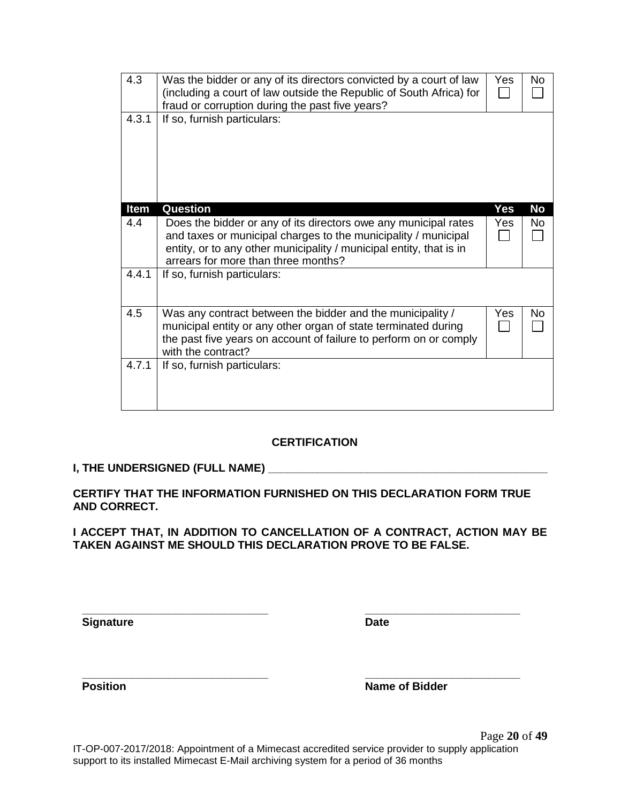|                                                                                                                                        |       | entity, or to any other municipality / municipal entity, that is in<br>arrears for more than three months?                                                                                                              |     |           |
|----------------------------------------------------------------------------------------------------------------------------------------|-------|-------------------------------------------------------------------------------------------------------------------------------------------------------------------------------------------------------------------------|-----|-----------|
|                                                                                                                                        | 4.4.1 | If so, furnish particulars:                                                                                                                                                                                             |     |           |
|                                                                                                                                        |       |                                                                                                                                                                                                                         |     |           |
|                                                                                                                                        | 4.5   | Was any contract between the bidder and the municipality /<br>municipal entity or any other organ of state terminated during<br>the past five years on account of failure to perform on or comply<br>with the contract? | Yes | <b>No</b> |
|                                                                                                                                        | 4.7.1 | If so, furnish particulars:                                                                                                                                                                                             |     |           |
|                                                                                                                                        |       |                                                                                                                                                                                                                         |     |           |
|                                                                                                                                        |       |                                                                                                                                                                                                                         |     |           |
|                                                                                                                                        |       | <b>CERTIFICATION</b>                                                                                                                                                                                                    |     |           |
|                                                                                                                                        |       | I, THE UNDERSIGNED (FULL NAME) _______                                                                                                                                                                                  |     |           |
| <b>AND CORRECT.</b>                                                                                                                    |       | CERTIFY THAT THE INFORMATION FURNISHED ON THIS DECLARATION FORM TRUE                                                                                                                                                    |     |           |
| I ACCEPT THAT, IN ADDITION TO CANCELLATION OF A CONTRACT, ACTION MAY BE<br>TAKEN AGAINST ME SHOULD THIS DECLARATION PROVE TO BE FALSE. |       |                                                                                                                                                                                                                         |     |           |
|                                                                                                                                        |       |                                                                                                                                                                                                                         |     |           |
|                                                                                                                                        |       |                                                                                                                                                                                                                         |     |           |
| <b>Signature</b>                                                                                                                       |       | <b>Date</b>                                                                                                                                                                                                             |     |           |
|                                                                                                                                        |       |                                                                                                                                                                                                                         |     |           |

4.3 Was the bidder or any of its directors convicted by a court of law

4.4 | Does the bidder or any of its directors owe any municipal rates

and taxes or municipal charges to the municipality / municipal

fraud or corruption during the past five years?

4.3.1 | If so, furnish particulars:

(including a court of law outside the Republic of South Africa) for

**Item Question Yes No**

 $\begin{array}{c|c} \mathsf{Yes} & \mathsf{No} \\ \hline \Box & \Box \end{array}$ 

Yes | No

 $\Box$ 

 $\Box$ 

**\_\_\_\_\_\_\_\_\_\_\_\_\_\_\_\_\_\_\_\_\_\_\_\_\_\_\_\_\_\_ \_\_\_\_\_\_\_\_\_\_\_\_\_\_\_\_\_\_\_\_\_\_\_\_\_ Position Name of Bidder**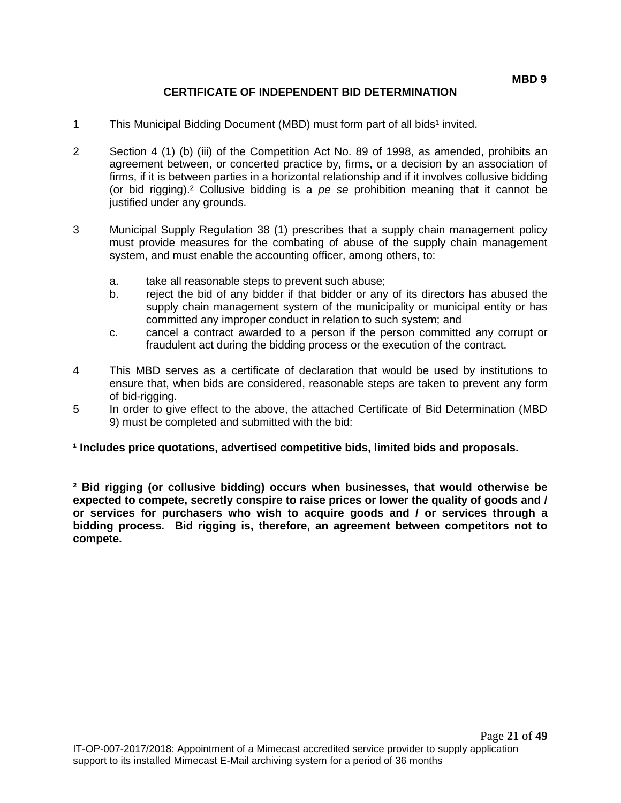## **CERTIFICATE OF INDEPENDENT BID DETERMINATION**

- 1 This Municipal Bidding Document (MBD) must form part of all bids<sup>1</sup> invited.
- 2 Section 4 (1) (b) (iii) of the Competition Act No. 89 of 1998, as amended, prohibits an agreement between, or concerted practice by, firms, or a decision by an association of firms, if it is between parties in a horizontal relationship and if it involves collusive bidding (or bid rigging).² Collusive bidding is a *pe se* prohibition meaning that it cannot be justified under any grounds.
- 3 Municipal Supply Regulation 38 (1) prescribes that a supply chain management policy must provide measures for the combating of abuse of the supply chain management system, and must enable the accounting officer, among others, to:
	- a. take all reasonable steps to prevent such abuse;
	- b. reject the bid of any bidder if that bidder or any of its directors has abused the supply chain management system of the municipality or municipal entity or has committed any improper conduct in relation to such system; and
	- c. cancel a contract awarded to a person if the person committed any corrupt or fraudulent act during the bidding process or the execution of the contract.
- 4 This MBD serves as a certificate of declaration that would be used by institutions to ensure that, when bids are considered, reasonable steps are taken to prevent any form of bid-rigging.
- 5 In order to give effect to the above, the attached Certificate of Bid Determination (MBD 9) must be completed and submitted with the bid:

#### **¹ Includes price quotations, advertised competitive bids, limited bids and proposals.**

**² Bid rigging (or collusive bidding) occurs when businesses, that would otherwise be expected to compete, secretly conspire to raise prices or lower the quality of goods and / or services for purchasers who wish to acquire goods and / or services through a bidding process. Bid rigging is, therefore, an agreement between competitors not to compete.**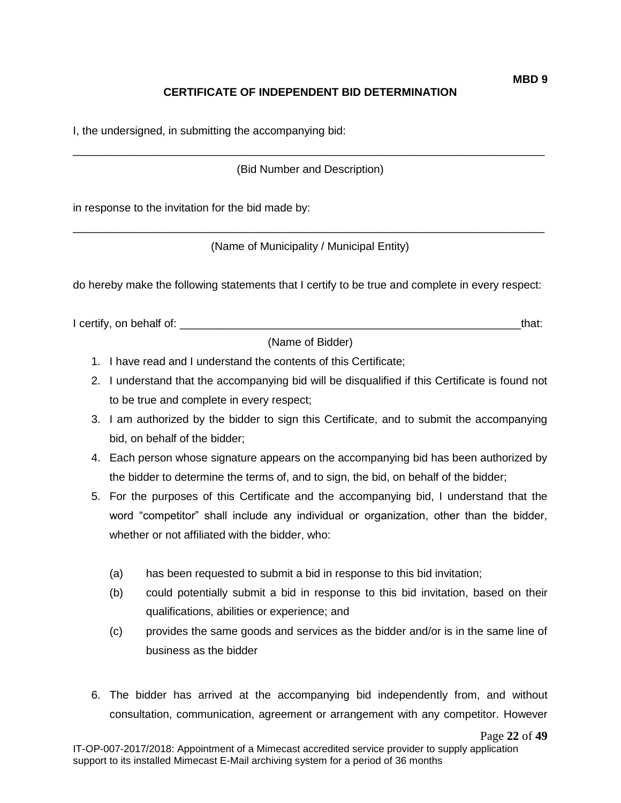# **CERTIFICATE OF INDEPENDENT BID DETERMINATION**

I, the undersigned, in submitting the accompanying bid:

\_\_\_\_\_\_\_\_\_\_\_\_\_\_\_\_\_\_\_\_\_\_\_\_\_\_\_\_\_\_\_\_\_\_\_\_\_\_\_\_\_\_\_\_\_\_\_\_\_\_\_\_\_\_\_\_\_\_\_\_\_\_\_\_\_\_\_\_\_\_\_\_\_\_\_\_ (Bid Number and Description)

in response to the invitation for the bid made by:

\_\_\_\_\_\_\_\_\_\_\_\_\_\_\_\_\_\_\_\_\_\_\_\_\_\_\_\_\_\_\_\_\_\_\_\_\_\_\_\_\_\_\_\_\_\_\_\_\_\_\_\_\_\_\_\_\_\_\_\_\_\_\_\_\_\_\_\_\_\_\_\_\_\_\_\_ (Name of Municipality / Municipal Entity)

do hereby make the following statements that I certify to be true and complete in every respect:

I certify, on behalf of: the same of the same of the same of the same of the same of the same of the same of th

(Name of Bidder)

- 1. I have read and I understand the contents of this Certificate;
- 2. I understand that the accompanying bid will be disqualified if this Certificate is found not to be true and complete in every respect;
- 3. I am authorized by the bidder to sign this Certificate, and to submit the accompanying bid, on behalf of the bidder;
- 4. Each person whose signature appears on the accompanying bid has been authorized by the bidder to determine the terms of, and to sign, the bid, on behalf of the bidder;
- 5. For the purposes of this Certificate and the accompanying bid, I understand that the word "competitor" shall include any individual or organization, other than the bidder, whether or not affiliated with the bidder, who:
	- (a) has been requested to submit a bid in response to this bid invitation;
	- (b) could potentially submit a bid in response to this bid invitation, based on their qualifications, abilities or experience; and
	- (c) provides the same goods and services as the bidder and/or is in the same line of business as the bidder
- 6. The bidder has arrived at the accompanying bid independently from, and without consultation, communication, agreement or arrangement with any competitor. However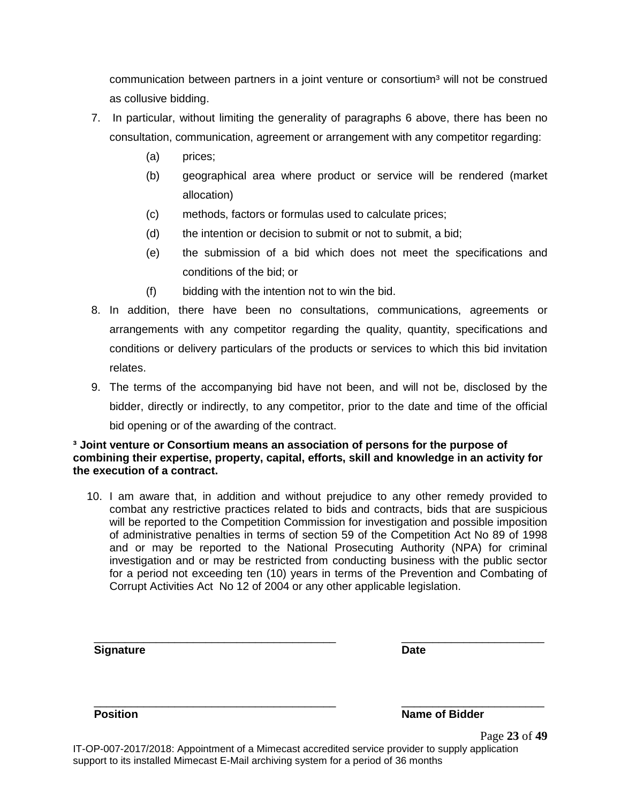communication between partners in a joint venture or consortium<sup>3</sup> will not be construed as collusive bidding.

- 7. In particular, without limiting the generality of paragraphs 6 above, there has been no consultation, communication, agreement or arrangement with any competitor regarding:
	- (a) prices;
	- (b) geographical area where product or service will be rendered (market allocation)
	- (c) methods, factors or formulas used to calculate prices;
	- (d) the intention or decision to submit or not to submit, a bid;
	- (e) the submission of a bid which does not meet the specifications and conditions of the bid; or
	- (f) bidding with the intention not to win the bid.
- 8. In addition, there have been no consultations, communications, agreements or arrangements with any competitor regarding the quality, quantity, specifications and conditions or delivery particulars of the products or services to which this bid invitation relates.
- 9. The terms of the accompanying bid have not been, and will not be, disclosed by the bidder, directly or indirectly, to any competitor, prior to the date and time of the official bid opening or of the awarding of the contract.

#### **³ Joint venture or Consortium means an association of persons for the purpose of combining their expertise, property, capital, efforts, skill and knowledge in an activity for the execution of a contract.**

10. I am aware that, in addition and without prejudice to any other remedy provided to combat any restrictive practices related to bids and contracts, bids that are suspicious will be reported to the Competition Commission for investigation and possible imposition of administrative penalties in terms of section 59 of the Competition Act No 89 of 1998 and or may be reported to the National Prosecuting Authority (NPA) for criminal investigation and or may be restricted from conducting business with the public sector for a period not exceeding ten (10) years in terms of the Prevention and Combating of Corrupt Activities Act No 12 of 2004 or any other applicable legislation.

| <b>Signature</b> | <b>Date</b>           |
|------------------|-----------------------|
|                  |                       |
| <b>Position</b>  | <b>Name of Bidder</b> |

Page **23** of **49** IT-OP-007-2017/2018: Appointment of a Mimecast accredited service provider to supply application support to its installed Mimecast E-Mail archiving system for a period of 36 months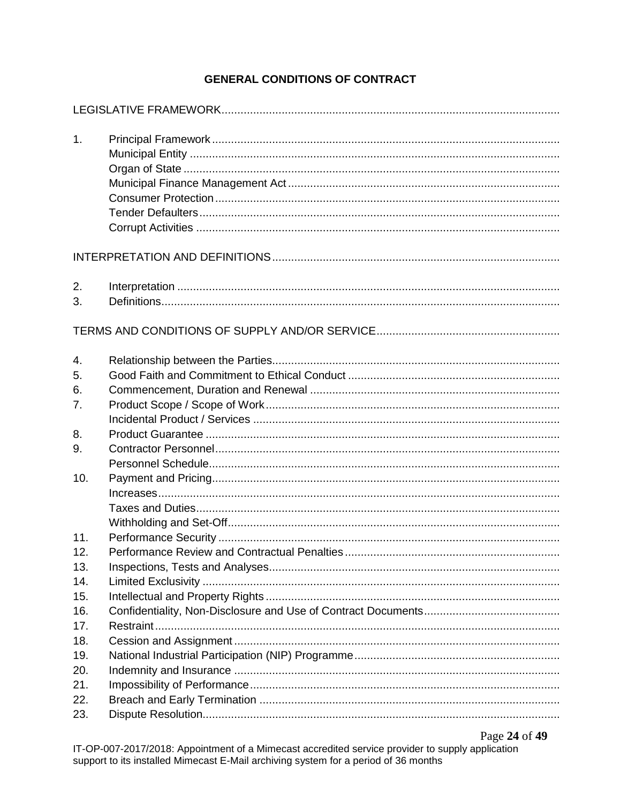# **GENERAL CONDITIONS OF CONTRACT**

| 1.         |  |
|------------|--|
|            |  |
| 2.<br>3.   |  |
|            |  |
| 4.<br>5.   |  |
| 6.<br>7.   |  |
| 8.<br>9.   |  |
| 10.        |  |
| 11.        |  |
| 12.        |  |
| 13.        |  |
| 14.        |  |
| 15.<br>16. |  |
| 17.        |  |
| 18.        |  |
| 19.        |  |
| 20.        |  |
| 21.        |  |
| 22.        |  |
| 23.        |  |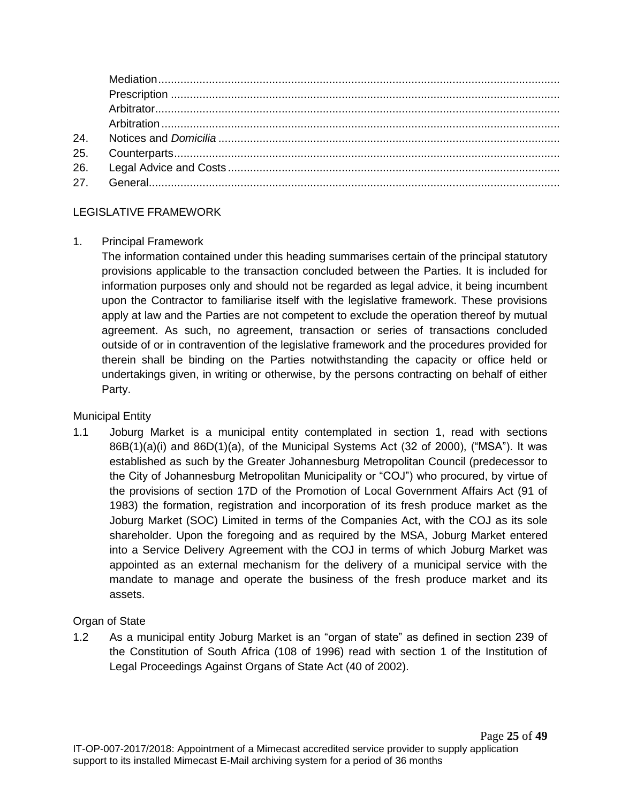## LEGISLATIVE FRAMEWORK

#### 1. Principal Framework

The information contained under this heading summarises certain of the principal statutory provisions applicable to the transaction concluded between the Parties. It is included for information purposes only and should not be regarded as legal advice, it being incumbent upon the Contractor to familiarise itself with the legislative framework. These provisions apply at law and the Parties are not competent to exclude the operation thereof by mutual agreement. As such, no agreement, transaction or series of transactions concluded outside of or in contravention of the legislative framework and the procedures provided for therein shall be binding on the Parties notwithstanding the capacity or office held or undertakings given, in writing or otherwise, by the persons contracting on behalf of either Party.

## Municipal Entity

1.1 Joburg Market is a municipal entity contemplated in section 1, read with sections 86B(1)(a)(i) and 86D(1)(a), of the Municipal Systems Act (32 of 2000), ("MSA"). It was established as such by the Greater Johannesburg Metropolitan Council (predecessor to the City of Johannesburg Metropolitan Municipality or "COJ") who procured, by virtue of the provisions of section 17D of the Promotion of Local Government Affairs Act (91 of 1983) the formation, registration and incorporation of its fresh produce market as the Joburg Market (SOC) Limited in terms of the Companies Act, with the COJ as its sole shareholder. Upon the foregoing and as required by the MSA, Joburg Market entered into a Service Delivery Agreement with the COJ in terms of which Joburg Market was appointed as an external mechanism for the delivery of a municipal service with the mandate to manage and operate the business of the fresh produce market and its assets.

## Organ of State

1.2 As a municipal entity Joburg Market is an "organ of state" as defined in section 239 of the Constitution of South Africa (108 of 1996) read with section 1 of the Institution of Legal Proceedings Against Organs of State Act (40 of 2002).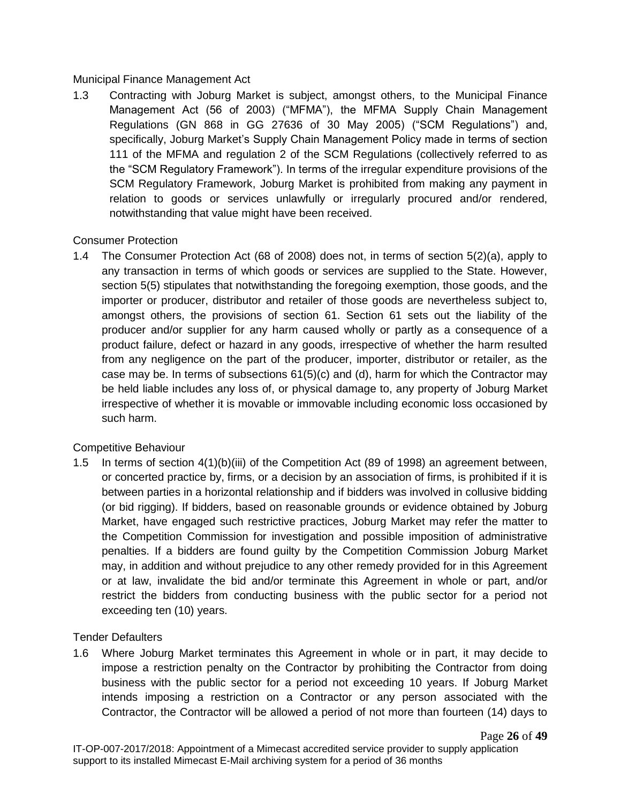## Municipal Finance Management Act

1.3 Contracting with Joburg Market is subject, amongst others, to the Municipal Finance Management Act (56 of 2003) ("MFMA"), the MFMA Supply Chain Management Regulations (GN 868 in GG 27636 of 30 May 2005) ("SCM Regulations") and, specifically, Joburg Market's Supply Chain Management Policy made in terms of section 111 of the MFMA and regulation 2 of the SCM Regulations (collectively referred to as the "SCM Regulatory Framework"). In terms of the irregular expenditure provisions of the SCM Regulatory Framework, Joburg Market is prohibited from making any payment in relation to goods or services unlawfully or irregularly procured and/or rendered, notwithstanding that value might have been received.

## Consumer Protection

1.4 The Consumer Protection Act (68 of 2008) does not, in terms of section 5(2)(a), apply to any transaction in terms of which goods or services are supplied to the State. However, section 5(5) stipulates that notwithstanding the foregoing exemption, those goods, and the importer or producer, distributor and retailer of those goods are nevertheless subject to, amongst others, the provisions of section 61. Section 61 sets out the liability of the producer and/or supplier for any harm caused wholly or partly as a consequence of a product failure, defect or hazard in any goods, irrespective of whether the harm resulted from any negligence on the part of the producer, importer, distributor or retailer, as the case may be. In terms of subsections  $61(5)(c)$  and (d), harm for which the Contractor may be held liable includes any loss of, or physical damage to, any property of Joburg Market irrespective of whether it is movable or immovable including economic loss occasioned by such harm.

# Competitive Behaviour

1.5 In terms of section 4(1)(b)(iii) of the Competition Act (89 of 1998) an agreement between, or concerted practice by, firms, or a decision by an association of firms, is prohibited if it is between parties in a horizontal relationship and if bidders was involved in collusive bidding (or bid rigging). If bidders, based on reasonable grounds or evidence obtained by Joburg Market, have engaged such restrictive practices, Joburg Market may refer the matter to the Competition Commission for investigation and possible imposition of administrative penalties. If a bidders are found guilty by the Competition Commission Joburg Market may, in addition and without prejudice to any other remedy provided for in this Agreement or at law, invalidate the bid and/or terminate this Agreement in whole or part, and/or restrict the bidders from conducting business with the public sector for a period not exceeding ten (10) years.

## Tender Defaulters

1.6 Where Joburg Market terminates this Agreement in whole or in part, it may decide to impose a restriction penalty on the Contractor by prohibiting the Contractor from doing business with the public sector for a period not exceeding 10 years. If Joburg Market intends imposing a restriction on a Contractor or any person associated with the Contractor, the Contractor will be allowed a period of not more than fourteen (14) days to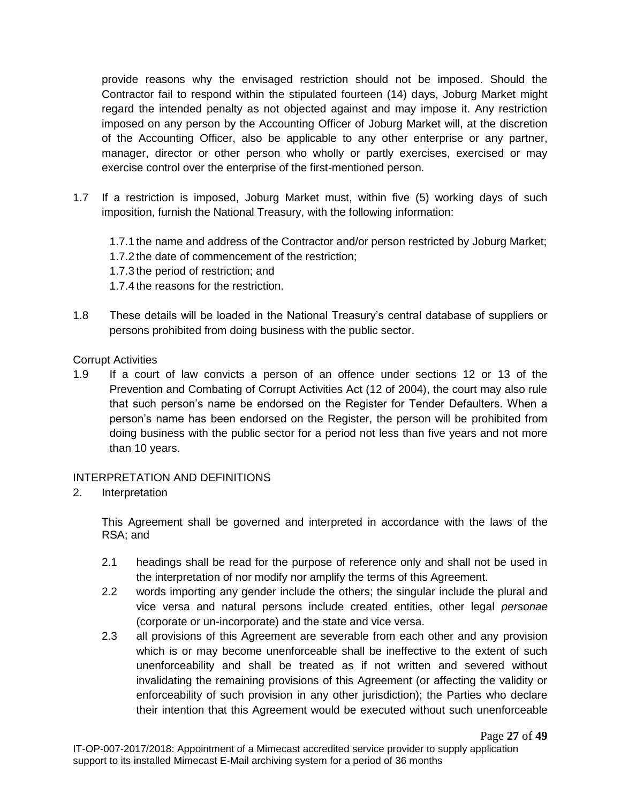provide reasons why the envisaged restriction should not be imposed. Should the Contractor fail to respond within the stipulated fourteen (14) days, Joburg Market might regard the intended penalty as not objected against and may impose it. Any restriction imposed on any person by the Accounting Officer of Joburg Market will, at the discretion of the Accounting Officer, also be applicable to any other enterprise or any partner, manager, director or other person who wholly or partly exercises, exercised or may exercise control over the enterprise of the first-mentioned person.

1.7 If a restriction is imposed, Joburg Market must, within five (5) working days of such imposition, furnish the National Treasury, with the following information:

1.7.1 the name and address of the Contractor and/or person restricted by Joburg Market; 1.7.2 the date of commencement of the restriction; 1.7.3 the period of restriction; and 1.7.4 the reasons for the restriction.

1.8 These details will be loaded in the National Treasury's central database of suppliers or persons prohibited from doing business with the public sector.

#### Corrupt Activities

1.9 If a court of law convicts a person of an offence under sections 12 or 13 of the Prevention and Combating of Corrupt Activities Act (12 of 2004), the court may also rule that such person's name be endorsed on the Register for Tender Defaulters. When a person's name has been endorsed on the Register, the person will be prohibited from doing business with the public sector for a period not less than five years and not more than 10 years.

## INTERPRETATION AND DEFINITIONS

2. Interpretation

This Agreement shall be governed and interpreted in accordance with the laws of the RSA; and

- 2.1 headings shall be read for the purpose of reference only and shall not be used in the interpretation of nor modify nor amplify the terms of this Agreement.
- 2.2 words importing any gender include the others; the singular include the plural and vice versa and natural persons include created entities, other legal *personae* (corporate or un-incorporate) and the state and vice versa.
- 2.3 all provisions of this Agreement are severable from each other and any provision which is or may become unenforceable shall be ineffective to the extent of such unenforceability and shall be treated as if not written and severed without invalidating the remaining provisions of this Agreement (or affecting the validity or enforceability of such provision in any other jurisdiction); the Parties who declare their intention that this Agreement would be executed without such unenforceable

Page **27** of **49**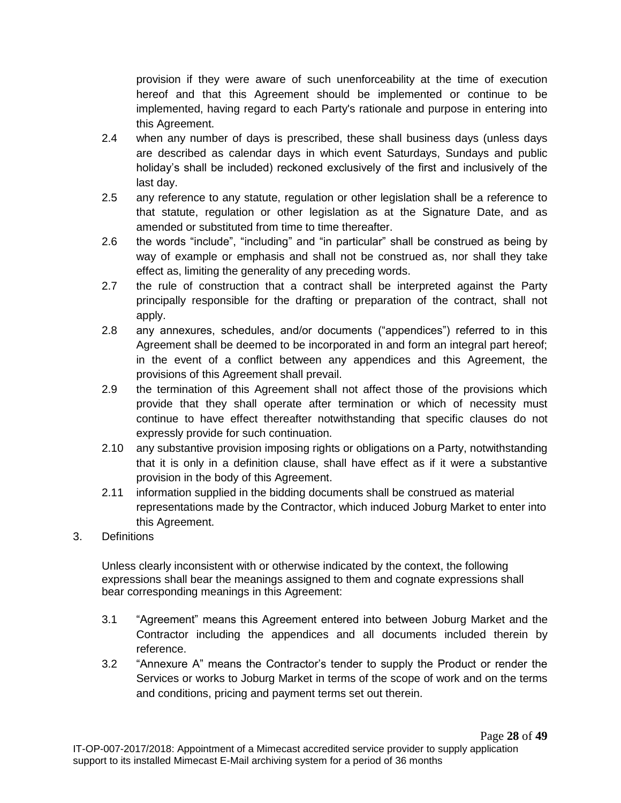provision if they were aware of such unenforceability at the time of execution hereof and that this Agreement should be implemented or continue to be implemented, having regard to each Party's rationale and purpose in entering into this Agreement.

- 2.4 when any number of days is prescribed, these shall business days (unless days are described as calendar days in which event Saturdays, Sundays and public holiday's shall be included) reckoned exclusively of the first and inclusively of the last day.
- 2.5 any reference to any statute, regulation or other legislation shall be a reference to that statute, regulation or other legislation as at the Signature Date, and as amended or substituted from time to time thereafter.
- 2.6 the words "include", "including" and "in particular" shall be construed as being by way of example or emphasis and shall not be construed as, nor shall they take effect as, limiting the generality of any preceding words.
- 2.7 the rule of construction that a contract shall be interpreted against the Party principally responsible for the drafting or preparation of the contract, shall not apply.
- 2.8 any annexures, schedules, and/or documents ("appendices") referred to in this Agreement shall be deemed to be incorporated in and form an integral part hereof; in the event of a conflict between any appendices and this Agreement, the provisions of this Agreement shall prevail.
- 2.9 the termination of this Agreement shall not affect those of the provisions which provide that they shall operate after termination or which of necessity must continue to have effect thereafter notwithstanding that specific clauses do not expressly provide for such continuation.
- 2.10 any substantive provision imposing rights or obligations on a Party, notwithstanding that it is only in a definition clause, shall have effect as if it were a substantive provision in the body of this Agreement.
- 2.11 information supplied in the bidding documents shall be construed as material representations made by the Contractor, which induced Joburg Market to enter into this Agreement.
- 3. Definitions

Unless clearly inconsistent with or otherwise indicated by the context, the following expressions shall bear the meanings assigned to them and cognate expressions shall bear corresponding meanings in this Agreement:

- 3.1 "Agreement" means this Agreement entered into between Joburg Market and the Contractor including the appendices and all documents included therein by reference.
- 3.2 "Annexure A" means the Contractor's tender to supply the Product or render the Services or works to Joburg Market in terms of the scope of work and on the terms and conditions, pricing and payment terms set out therein.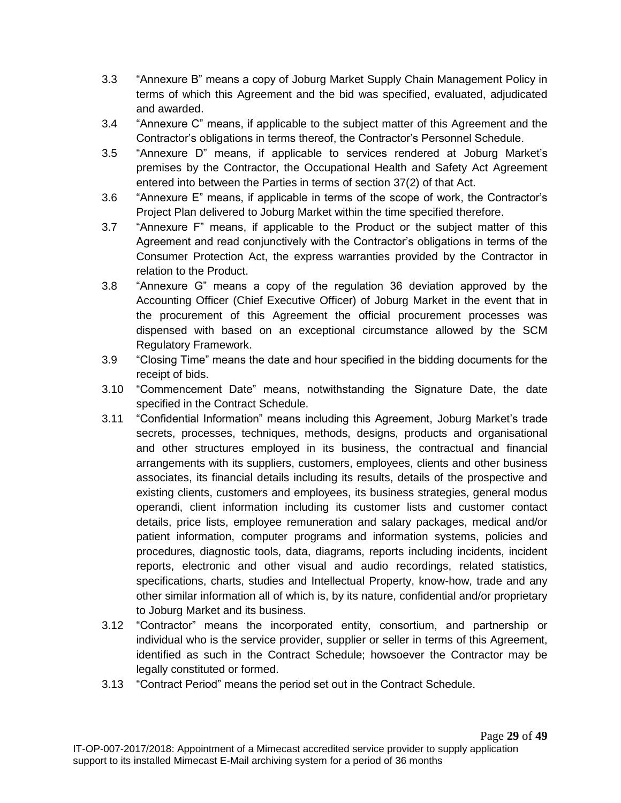- 3.3 "Annexure B" means a copy of Joburg Market Supply Chain Management Policy in terms of which this Agreement and the bid was specified, evaluated, adjudicated and awarded.
- 3.4 "Annexure C" means, if applicable to the subject matter of this Agreement and the Contractor's obligations in terms thereof, the Contractor's Personnel Schedule.
- 3.5 "Annexure D" means, if applicable to services rendered at Joburg Market's premises by the Contractor, the Occupational Health and Safety Act Agreement entered into between the Parties in terms of section 37(2) of that Act.
- 3.6 "Annexure E" means, if applicable in terms of the scope of work, the Contractor's Project Plan delivered to Joburg Market within the time specified therefore.
- 3.7 "Annexure F" means, if applicable to the Product or the subject matter of this Agreement and read conjunctively with the Contractor's obligations in terms of the Consumer Protection Act, the express warranties provided by the Contractor in relation to the Product.
- 3.8 "Annexure G" means a copy of the regulation 36 deviation approved by the Accounting Officer (Chief Executive Officer) of Joburg Market in the event that in the procurement of this Agreement the official procurement processes was dispensed with based on an exceptional circumstance allowed by the SCM Regulatory Framework.
- 3.9 "Closing Time" means the date and hour specified in the bidding documents for the receipt of bids.
- 3.10 "Commencement Date" means, notwithstanding the Signature Date, the date specified in the Contract Schedule.
- 3.11 "Confidential Information" means including this Agreement, Joburg Market's trade secrets, processes, techniques, methods, designs, products and organisational and other structures employed in its business, the contractual and financial arrangements with its suppliers, customers, employees, clients and other business associates, its financial details including its results, details of the prospective and existing clients, customers and employees, its business strategies, general modus operandi, client information including its customer lists and customer contact details, price lists, employee remuneration and salary packages, medical and/or patient information, computer programs and information systems, policies and procedures, diagnostic tools, data, diagrams, reports including incidents, incident reports, electronic and other visual and audio recordings, related statistics, specifications, charts, studies and Intellectual Property, know-how, trade and any other similar information all of which is, by its nature, confidential and/or proprietary to Joburg Market and its business.
- 3.12 "Contractor" means the incorporated entity, consortium, and partnership or individual who is the service provider, supplier or seller in terms of this Agreement, identified as such in the Contract Schedule; howsoever the Contractor may be legally constituted or formed.
- 3.13 "Contract Period" means the period set out in the Contract Schedule.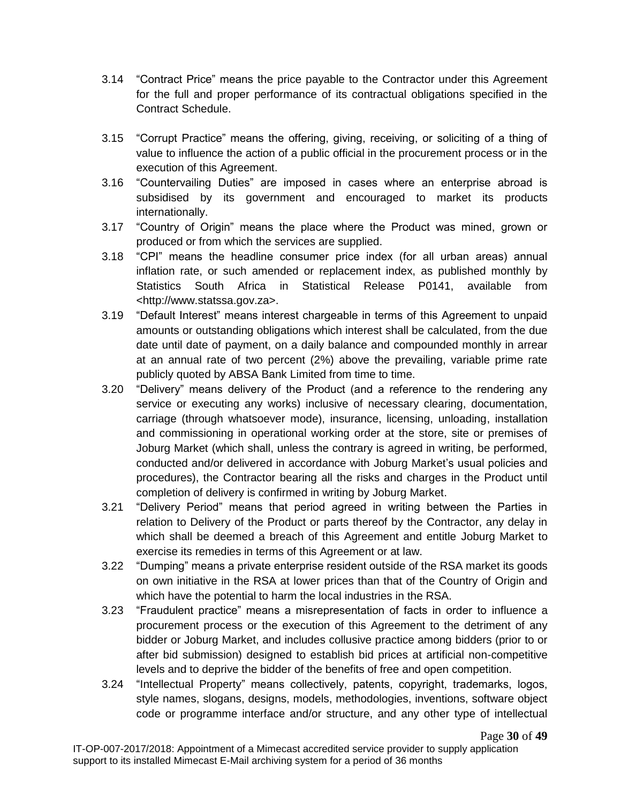- 3.14 "Contract Price" means the price payable to the Contractor under this Agreement for the full and proper performance of its contractual obligations specified in the Contract Schedule.
- 3.15 "Corrupt Practice" means the offering, giving, receiving, or soliciting of a thing of value to influence the action of a public official in the procurement process or in the execution of this Agreement.
- 3.16 "Countervailing Duties" are imposed in cases where an enterprise abroad is subsidised by its government and encouraged to market its products internationally.
- 3.17 "Country of Origin" means the place where the Product was mined, grown or produced or from which the services are supplied.
- 3.18 "CPI" means the headline consumer price index (for all urban areas) annual inflation rate, or such amended or replacement index, as published monthly by Statistics South Africa in Statistical Release P0141, available from <http://www.statssa.gov.za>.
- 3.19 "Default Interest" means interest chargeable in terms of this Agreement to unpaid amounts or outstanding obligations which interest shall be calculated, from the due date until date of payment, on a daily balance and compounded monthly in arrear at an annual rate of two percent (2%) above the prevailing, variable prime rate publicly quoted by ABSA Bank Limited from time to time.
- 3.20 "Delivery" means delivery of the Product (and a reference to the rendering any service or executing any works) inclusive of necessary clearing, documentation, carriage (through whatsoever mode), insurance, licensing, unloading, installation and commissioning in operational working order at the store, site or premises of Joburg Market (which shall, unless the contrary is agreed in writing, be performed, conducted and/or delivered in accordance with Joburg Market's usual policies and procedures), the Contractor bearing all the risks and charges in the Product until completion of delivery is confirmed in writing by Joburg Market.
- 3.21 "Delivery Period" means that period agreed in writing between the Parties in relation to Delivery of the Product or parts thereof by the Contractor, any delay in which shall be deemed a breach of this Agreement and entitle Joburg Market to exercise its remedies in terms of this Agreement or at law.
- 3.22 "Dumping" means a private enterprise resident outside of the RSA market its goods on own initiative in the RSA at lower prices than that of the Country of Origin and which have the potential to harm the local industries in the RSA.
- 3.23 "Fraudulent practice" means a misrepresentation of facts in order to influence a procurement process or the execution of this Agreement to the detriment of any bidder or Joburg Market, and includes collusive practice among bidders (prior to or after bid submission) designed to establish bid prices at artificial non-competitive levels and to deprive the bidder of the benefits of free and open competition.
- 3.24 "Intellectual Property" means collectively, patents, copyright, trademarks, logos, style names, slogans, designs, models, methodologies, inventions, software object code or programme interface and/or structure, and any other type of intellectual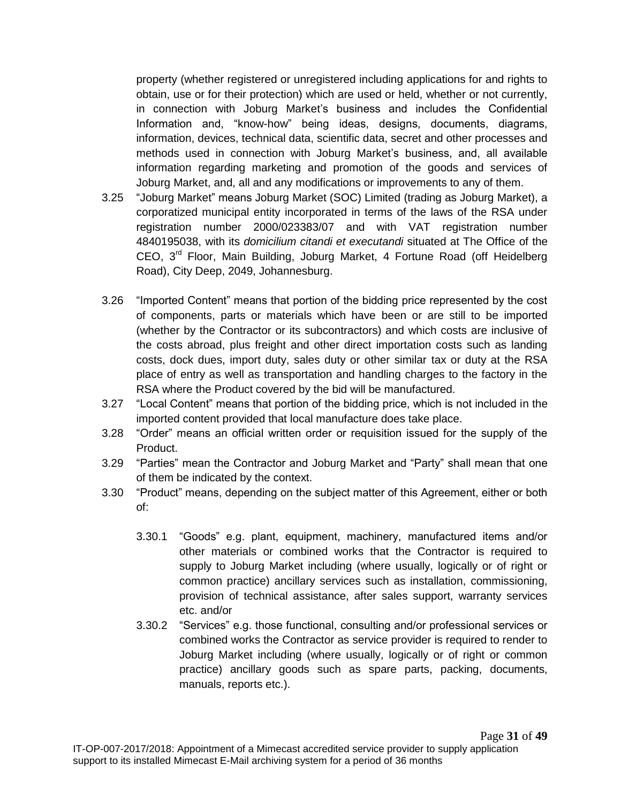property (whether registered or unregistered including applications for and rights to obtain, use or for their protection) which are used or held, whether or not currently, in connection with Joburg Market's business and includes the Confidential Information and, "know-how" being ideas, designs, documents, diagrams, information, devices, technical data, scientific data, secret and other processes and methods used in connection with Joburg Market's business, and, all available information regarding marketing and promotion of the goods and services of Joburg Market, and, all and any modifications or improvements to any of them.

- 3.25 "Joburg Market" means Joburg Market (SOC) Limited (trading as Joburg Market), a corporatized municipal entity incorporated in terms of the laws of the RSA under registration number 2000/023383/07 and with VAT registration number 4840195038, with its *domicilium citandi et executandi* situated at The Office of the CEO,  $3<sup>rd</sup>$  Floor, Main Building, Joburg Market, 4 Fortune Road (off Heidelberg Road), City Deep, 2049, Johannesburg.
- 3.26 "Imported Content" means that portion of the bidding price represented by the cost of components, parts or materials which have been or are still to be imported (whether by the Contractor or its subcontractors) and which costs are inclusive of the costs abroad, plus freight and other direct importation costs such as landing costs, dock dues, import duty, sales duty or other similar tax or duty at the RSA place of entry as well as transportation and handling charges to the factory in the RSA where the Product covered by the bid will be manufactured.
- 3.27 "Local Content" means that portion of the bidding price, which is not included in the imported content provided that local manufacture does take place.
- 3.28 "Order" means an official written order or requisition issued for the supply of the Product.
- 3.29 "Parties" mean the Contractor and Joburg Market and "Party" shall mean that one of them be indicated by the context.
- 3.30 "Product" means, depending on the subject matter of this Agreement, either or both of:
	- 3.30.1 "Goods" e.g. plant, equipment, machinery, manufactured items and/or other materials or combined works that the Contractor is required to supply to Joburg Market including (where usually, logically or of right or common practice) ancillary services such as installation, commissioning, provision of technical assistance, after sales support, warranty services etc. and/or
	- 3.30.2 "Services" e.g. those functional, consulting and/or professional services or combined works the Contractor as service provider is required to render to Joburg Market including (where usually, logically or of right or common practice) ancillary goods such as spare parts, packing, documents, manuals, reports etc.).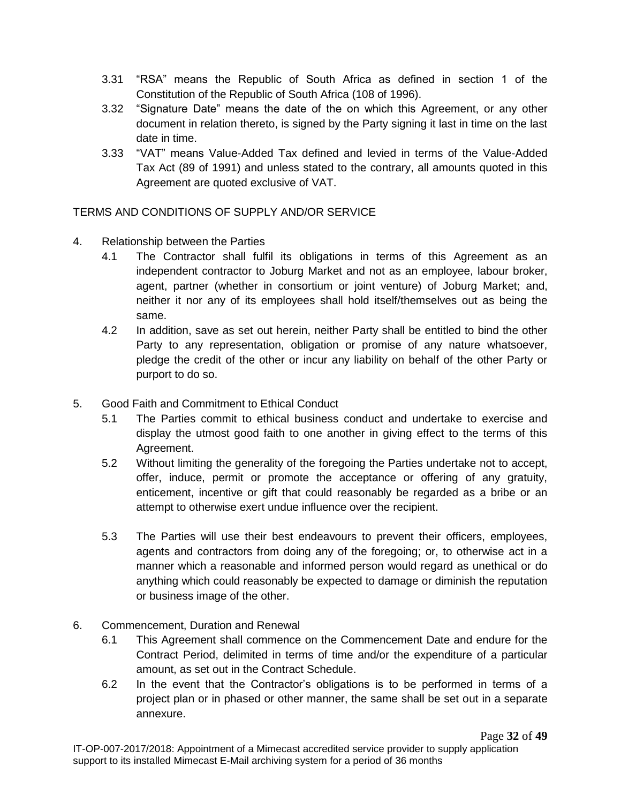- 3.31 "RSA" means the Republic of South Africa as defined in section 1 of the Constitution of the Republic of South Africa (108 of 1996).
- 3.32 "Signature Date" means the date of the on which this Agreement, or any other document in relation thereto, is signed by the Party signing it last in time on the last date in time.
- 3.33 "VAT" means Value-Added Tax defined and levied in terms of the Value-Added Tax Act (89 of 1991) and unless stated to the contrary, all amounts quoted in this Agreement are quoted exclusive of VAT.

TERMS AND CONDITIONS OF SUPPLY AND/OR SERVICE

- 4. Relationship between the Parties
	- 4.1 The Contractor shall fulfil its obligations in terms of this Agreement as an independent contractor to Joburg Market and not as an employee, labour broker, agent, partner (whether in consortium or joint venture) of Joburg Market; and, neither it nor any of its employees shall hold itself/themselves out as being the same.
	- 4.2 In addition, save as set out herein, neither Party shall be entitled to bind the other Party to any representation, obligation or promise of any nature whatsoever, pledge the credit of the other or incur any liability on behalf of the other Party or purport to do so.
- 5. Good Faith and Commitment to Ethical Conduct
	- 5.1 The Parties commit to ethical business conduct and undertake to exercise and display the utmost good faith to one another in giving effect to the terms of this Agreement.
	- 5.2 Without limiting the generality of the foregoing the Parties undertake not to accept, offer, induce, permit or promote the acceptance or offering of any gratuity, enticement, incentive or gift that could reasonably be regarded as a bribe or an attempt to otherwise exert undue influence over the recipient.
	- 5.3 The Parties will use their best endeavours to prevent their officers, employees, agents and contractors from doing any of the foregoing; or, to otherwise act in a manner which a reasonable and informed person would regard as unethical or do anything which could reasonably be expected to damage or diminish the reputation or business image of the other.
- 6. Commencement, Duration and Renewal
	- 6.1 This Agreement shall commence on the Commencement Date and endure for the Contract Period, delimited in terms of time and/or the expenditure of a particular amount, as set out in the Contract Schedule.
	- 6.2 In the event that the Contractor's obligations is to be performed in terms of a project plan or in phased or other manner, the same shall be set out in a separate annexure.

Page **32** of **49**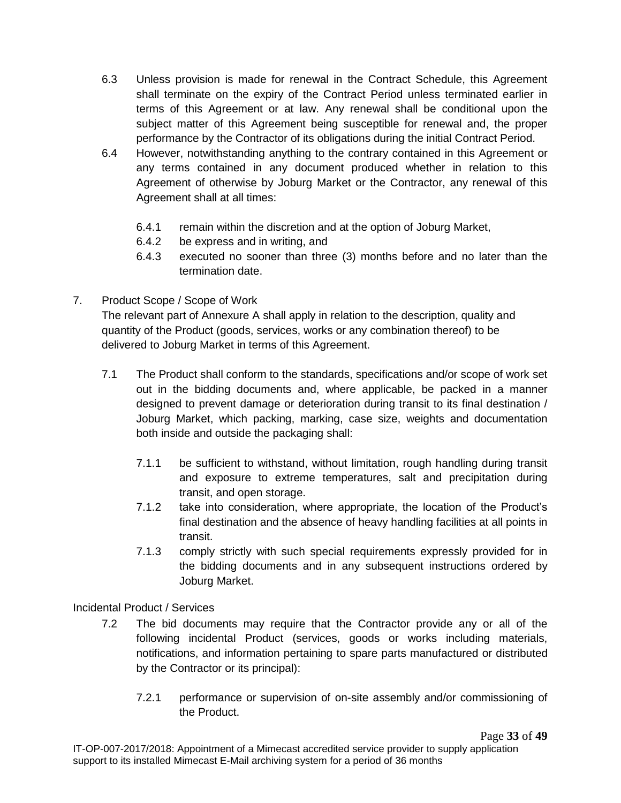- 6.3 Unless provision is made for renewal in the Contract Schedule, this Agreement shall terminate on the expiry of the Contract Period unless terminated earlier in terms of this Agreement or at law. Any renewal shall be conditional upon the subject matter of this Agreement being susceptible for renewal and, the proper performance by the Contractor of its obligations during the initial Contract Period.
- 6.4 However, notwithstanding anything to the contrary contained in this Agreement or any terms contained in any document produced whether in relation to this Agreement of otherwise by Joburg Market or the Contractor, any renewal of this Agreement shall at all times:
	- 6.4.1 remain within the discretion and at the option of Joburg Market,
	- 6.4.2 be express and in writing, and
	- 6.4.3 executed no sooner than three (3) months before and no later than the termination date.
- 7. Product Scope / Scope of Work

The relevant part of Annexure A shall apply in relation to the description, quality and quantity of the Product (goods, services, works or any combination thereof) to be delivered to Joburg Market in terms of this Agreement.

- 7.1 The Product shall conform to the standards, specifications and/or scope of work set out in the bidding documents and, where applicable, be packed in a manner designed to prevent damage or deterioration during transit to its final destination / Joburg Market, which packing, marking, case size, weights and documentation both inside and outside the packaging shall:
	- 7.1.1 be sufficient to withstand, without limitation, rough handling during transit and exposure to extreme temperatures, salt and precipitation during transit, and open storage.
	- 7.1.2 take into consideration, where appropriate, the location of the Product's final destination and the absence of heavy handling facilities at all points in transit.
	- 7.1.3 comply strictly with such special requirements expressly provided for in the bidding documents and in any subsequent instructions ordered by Joburg Market.

Incidental Product / Services

- 7.2 The bid documents may require that the Contractor provide any or all of the following incidental Product (services, goods or works including materials, notifications, and information pertaining to spare parts manufactured or distributed by the Contractor or its principal):
	- 7.2.1 performance or supervision of on-site assembly and/or commissioning of the Product.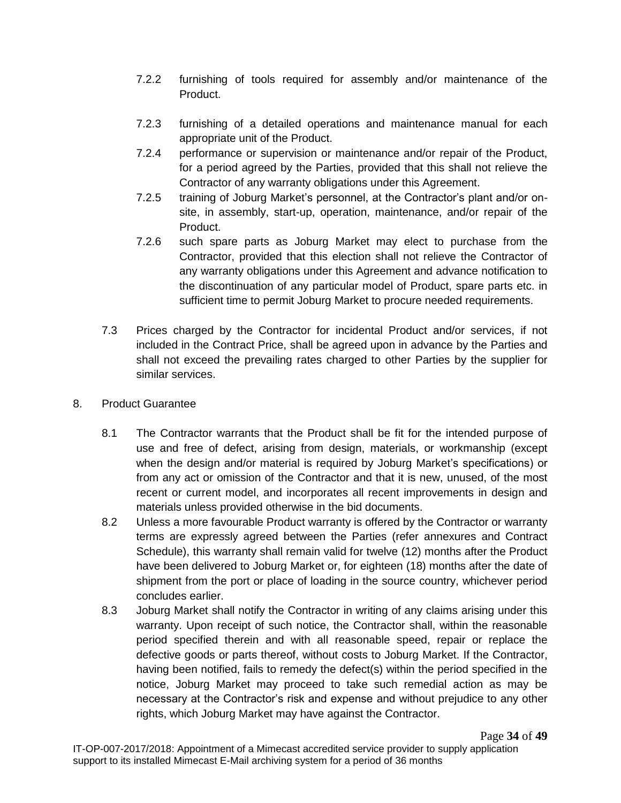- 7.2.2 furnishing of tools required for assembly and/or maintenance of the Product.
- 7.2.3 furnishing of a detailed operations and maintenance manual for each appropriate unit of the Product.
- 7.2.4 performance or supervision or maintenance and/or repair of the Product, for a period agreed by the Parties, provided that this shall not relieve the Contractor of any warranty obligations under this Agreement.
- 7.2.5 training of Joburg Market's personnel, at the Contractor's plant and/or onsite, in assembly, start-up, operation, maintenance, and/or repair of the Product.
- 7.2.6 such spare parts as Joburg Market may elect to purchase from the Contractor, provided that this election shall not relieve the Contractor of any warranty obligations under this Agreement and advance notification to the discontinuation of any particular model of Product, spare parts etc. in sufficient time to permit Joburg Market to procure needed requirements.
- 7.3 Prices charged by the Contractor for incidental Product and/or services, if not included in the Contract Price, shall be agreed upon in advance by the Parties and shall not exceed the prevailing rates charged to other Parties by the supplier for similar services.
- 8. Product Guarantee
	- 8.1 The Contractor warrants that the Product shall be fit for the intended purpose of use and free of defect, arising from design, materials, or workmanship (except when the design and/or material is required by Joburg Market's specifications) or from any act or omission of the Contractor and that it is new, unused, of the most recent or current model, and incorporates all recent improvements in design and materials unless provided otherwise in the bid documents.
	- 8.2 Unless a more favourable Product warranty is offered by the Contractor or warranty terms are expressly agreed between the Parties (refer annexures and Contract Schedule), this warranty shall remain valid for twelve (12) months after the Product have been delivered to Joburg Market or, for eighteen (18) months after the date of shipment from the port or place of loading in the source country, whichever period concludes earlier.
	- 8.3 Joburg Market shall notify the Contractor in writing of any claims arising under this warranty. Upon receipt of such notice, the Contractor shall, within the reasonable period specified therein and with all reasonable speed, repair or replace the defective goods or parts thereof, without costs to Joburg Market. If the Contractor, having been notified, fails to remedy the defect(s) within the period specified in the notice, Joburg Market may proceed to take such remedial action as may be necessary at the Contractor's risk and expense and without prejudice to any other rights, which Joburg Market may have against the Contractor.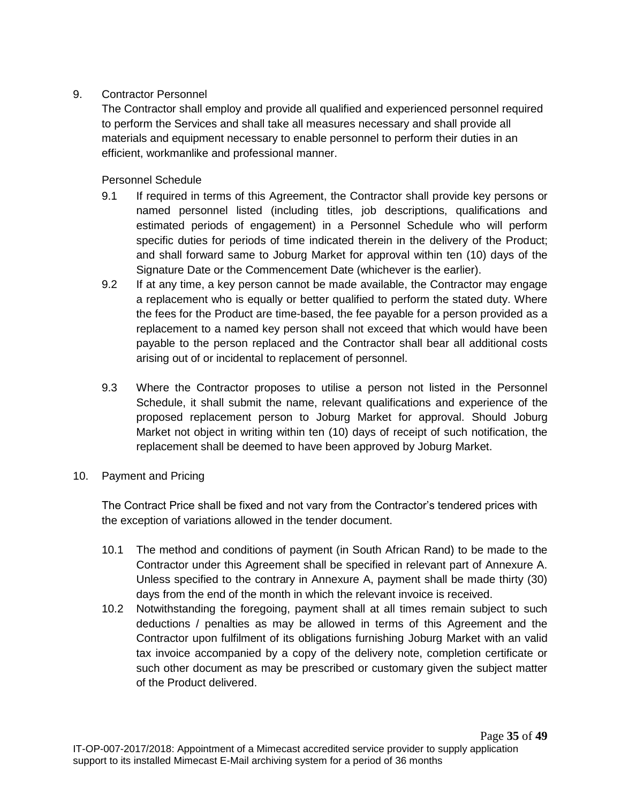## 9. Contractor Personnel

The Contractor shall employ and provide all qualified and experienced personnel required to perform the Services and shall take all measures necessary and shall provide all materials and equipment necessary to enable personnel to perform their duties in an efficient, workmanlike and professional manner.

Personnel Schedule

- 9.1 If required in terms of this Agreement, the Contractor shall provide key persons or named personnel listed (including titles, job descriptions, qualifications and estimated periods of engagement) in a Personnel Schedule who will perform specific duties for periods of time indicated therein in the delivery of the Product; and shall forward same to Joburg Market for approval within ten (10) days of the Signature Date or the Commencement Date (whichever is the earlier).
- 9.2 If at any time, a key person cannot be made available, the Contractor may engage a replacement who is equally or better qualified to perform the stated duty. Where the fees for the Product are time-based, the fee payable for a person provided as a replacement to a named key person shall not exceed that which would have been payable to the person replaced and the Contractor shall bear all additional costs arising out of or incidental to replacement of personnel.
- 9.3 Where the Contractor proposes to utilise a person not listed in the Personnel Schedule, it shall submit the name, relevant qualifications and experience of the proposed replacement person to Joburg Market for approval. Should Joburg Market not object in writing within ten (10) days of receipt of such notification, the replacement shall be deemed to have been approved by Joburg Market.
- 10. Payment and Pricing

The Contract Price shall be fixed and not vary from the Contractor's tendered prices with the exception of variations allowed in the tender document.

- 10.1 The method and conditions of payment (in South African Rand) to be made to the Contractor under this Agreement shall be specified in relevant part of Annexure A. Unless specified to the contrary in Annexure A, payment shall be made thirty (30) days from the end of the month in which the relevant invoice is received.
- 10.2 Notwithstanding the foregoing, payment shall at all times remain subject to such deductions / penalties as may be allowed in terms of this Agreement and the Contractor upon fulfilment of its obligations furnishing Joburg Market with an valid tax invoice accompanied by a copy of the delivery note, completion certificate or such other document as may be prescribed or customary given the subject matter of the Product delivered.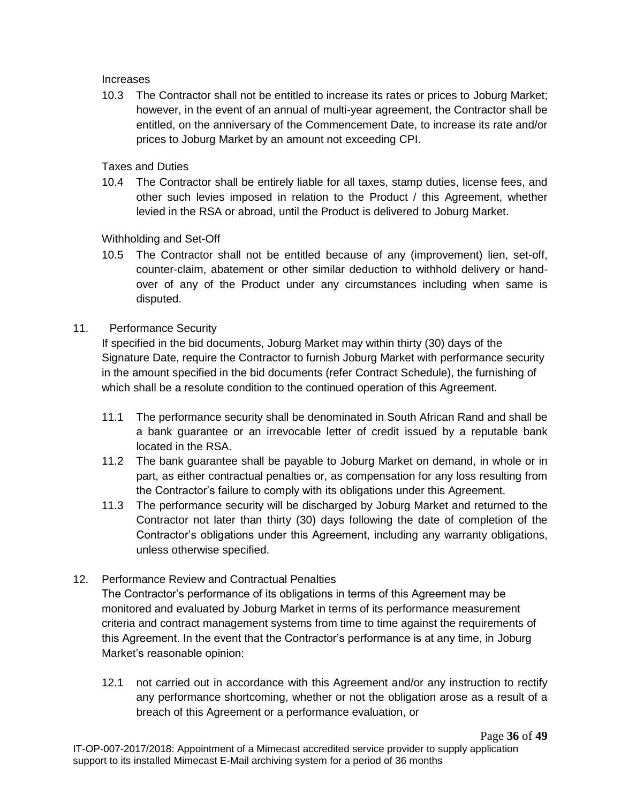Increases

10.3 The Contractor shall not be entitled to increase its rates or prices to Joburg Market; however, in the event of an annual of multi-year agreement, the Contractor shall be entitled, on the anniversary of the Commencement Date, to increase its rate and/or prices to Joburg Market by an amount not exceeding CPI.

Taxes and Duties

10.4 The Contractor shall be entirely liable for all taxes, stamp duties, license fees, and other such levies imposed in relation to the Product / this Agreement, whether levied in the RSA or abroad, until the Product is delivered to Joburg Market.

Withholding and Set-Off

10.5 The Contractor shall not be entitled because of any (improvement) lien, set-off, counter-claim, abatement or other similar deduction to withhold delivery or handover of any of the Product under any circumstances including when same is disputed.

## 11. Performance Security

If specified in the bid documents, Joburg Market may within thirty (30) days of the Signature Date, require the Contractor to furnish Joburg Market with performance security in the amount specified in the bid documents (refer Contract Schedule), the furnishing of which shall be a resolute condition to the continued operation of this Agreement.

- 11.1 The performance security shall be denominated in South African Rand and shall be a bank guarantee or an irrevocable letter of credit issued by a reputable bank located in the RSA.
- 11.2 The bank guarantee shall be payable to Joburg Market on demand, in whole or in part, as either contractual penalties or, as compensation for any loss resulting from the Contractor's failure to comply with its obligations under this Agreement.
- 11.3 The performance security will be discharged by Joburg Market and returned to the Contractor not later than thirty (30) days following the date of completion of the Contractor's obligations under this Agreement, including any warranty obligations, unless otherwise specified.
- 12. Performance Review and Contractual Penalties

The Contractor's performance of its obligations in terms of this Agreement may be monitored and evaluated by Joburg Market in terms of its performance measurement criteria and contract management systems from time to time against the requirements of this Agreement. In the event that the Contractor's performance is at any time, in Joburg Market's reasonable opinion:

12.1 not carried out in accordance with this Agreement and/or any instruction to rectify any performance shortcoming, whether or not the obligation arose as a result of a breach of this Agreement or a performance evaluation, or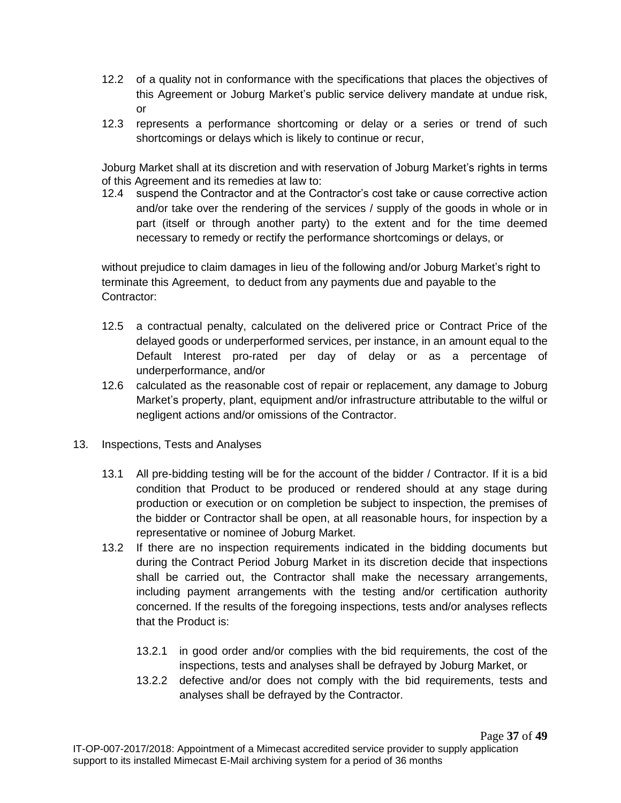- 12.2 of a quality not in conformance with the specifications that places the objectives of this Agreement or Joburg Market's public service delivery mandate at undue risk, or
- 12.3 represents a performance shortcoming or delay or a series or trend of such shortcomings or delays which is likely to continue or recur,

Joburg Market shall at its discretion and with reservation of Joburg Market's rights in terms of this Agreement and its remedies at law to:

12.4 suspend the Contractor and at the Contractor's cost take or cause corrective action and/or take over the rendering of the services / supply of the goods in whole or in part (itself or through another party) to the extent and for the time deemed necessary to remedy or rectify the performance shortcomings or delays, or

without prejudice to claim damages in lieu of the following and/or Joburg Market's right to terminate this Agreement, to deduct from any payments due and payable to the Contractor:

- 12.5 a contractual penalty, calculated on the delivered price or Contract Price of the delayed goods or underperformed services, per instance, in an amount equal to the Default Interest pro-rated per day of delay or as a percentage of underperformance, and/or
- 12.6 calculated as the reasonable cost of repair or replacement, any damage to Joburg Market's property, plant, equipment and/or infrastructure attributable to the wilful or negligent actions and/or omissions of the Contractor.
- 13. Inspections, Tests and Analyses
	- 13.1 All pre-bidding testing will be for the account of the bidder / Contractor. If it is a bid condition that Product to be produced or rendered should at any stage during production or execution or on completion be subject to inspection, the premises of the bidder or Contractor shall be open, at all reasonable hours, for inspection by a representative or nominee of Joburg Market.
	- 13.2 If there are no inspection requirements indicated in the bidding documents but during the Contract Period Joburg Market in its discretion decide that inspections shall be carried out, the Contractor shall make the necessary arrangements, including payment arrangements with the testing and/or certification authority concerned. If the results of the foregoing inspections, tests and/or analyses reflects that the Product is:
		- 13.2.1 in good order and/or complies with the bid requirements, the cost of the inspections, tests and analyses shall be defrayed by Joburg Market, or
		- 13.2.2 defective and/or does not comply with the bid requirements, tests and analyses shall be defrayed by the Contractor.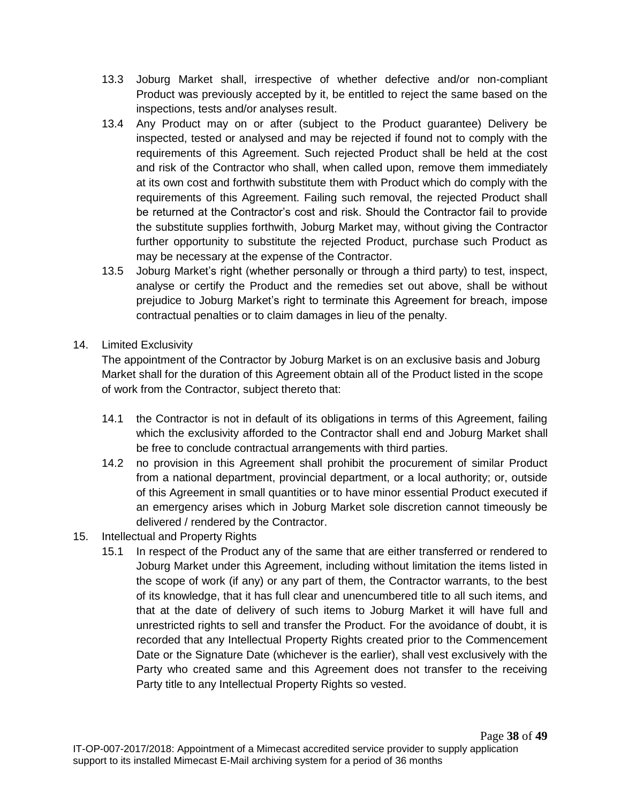- 13.3 Joburg Market shall, irrespective of whether defective and/or non-compliant Product was previously accepted by it, be entitled to reject the same based on the inspections, tests and/or analyses result.
- 13.4 Any Product may on or after (subject to the Product guarantee) Delivery be inspected, tested or analysed and may be rejected if found not to comply with the requirements of this Agreement. Such rejected Product shall be held at the cost and risk of the Contractor who shall, when called upon, remove them immediately at its own cost and forthwith substitute them with Product which do comply with the requirements of this Agreement. Failing such removal, the rejected Product shall be returned at the Contractor's cost and risk. Should the Contractor fail to provide the substitute supplies forthwith, Joburg Market may, without giving the Contractor further opportunity to substitute the rejected Product, purchase such Product as may be necessary at the expense of the Contractor.
- 13.5 Joburg Market's right (whether personally or through a third party) to test, inspect, analyse or certify the Product and the remedies set out above, shall be without prejudice to Joburg Market's right to terminate this Agreement for breach, impose contractual penalties or to claim damages in lieu of the penalty.
- 14. Limited Exclusivity

The appointment of the Contractor by Joburg Market is on an exclusive basis and Joburg Market shall for the duration of this Agreement obtain all of the Product listed in the scope of work from the Contractor, subject thereto that:

- 14.1 the Contractor is not in default of its obligations in terms of this Agreement, failing which the exclusivity afforded to the Contractor shall end and Joburg Market shall be free to conclude contractual arrangements with third parties.
- 14.2 no provision in this Agreement shall prohibit the procurement of similar Product from a national department, provincial department, or a local authority; or, outside of this Agreement in small quantities or to have minor essential Product executed if an emergency arises which in Joburg Market sole discretion cannot timeously be delivered / rendered by the Contractor.
- 15. Intellectual and Property Rights
	- 15.1 In respect of the Product any of the same that are either transferred or rendered to Joburg Market under this Agreement, including without limitation the items listed in the scope of work (if any) or any part of them, the Contractor warrants, to the best of its knowledge, that it has full clear and unencumbered title to all such items, and that at the date of delivery of such items to Joburg Market it will have full and unrestricted rights to sell and transfer the Product. For the avoidance of doubt, it is recorded that any Intellectual Property Rights created prior to the Commencement Date or the Signature Date (whichever is the earlier), shall vest exclusively with the Party who created same and this Agreement does not transfer to the receiving Party title to any Intellectual Property Rights so vested.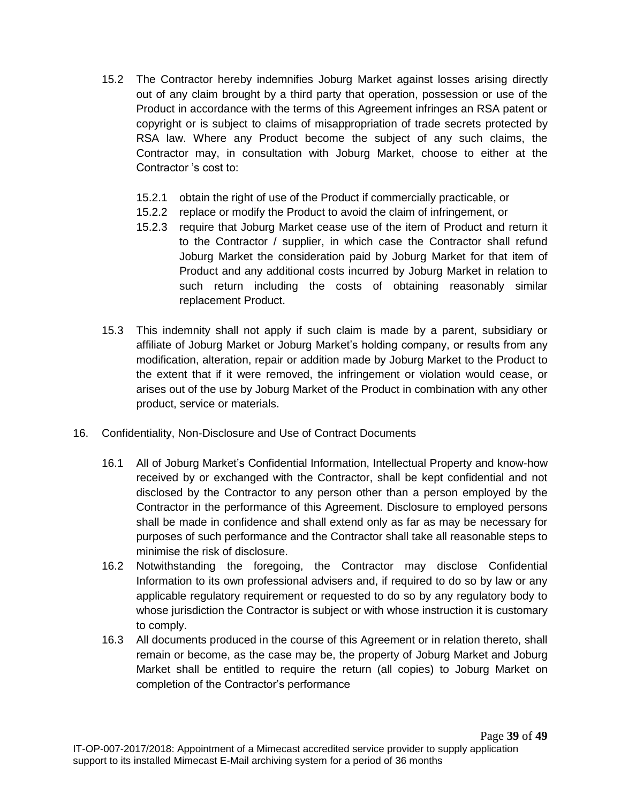- 15.2 The Contractor hereby indemnifies Joburg Market against losses arising directly out of any claim brought by a third party that operation, possession or use of the Product in accordance with the terms of this Agreement infringes an RSA patent or copyright or is subject to claims of misappropriation of trade secrets protected by RSA law. Where any Product become the subject of any such claims, the Contractor may, in consultation with Joburg Market, choose to either at the Contractor 's cost to:
	- 15.2.1 obtain the right of use of the Product if commercially practicable, or
	- 15.2.2 replace or modify the Product to avoid the claim of infringement, or
	- 15.2.3 require that Joburg Market cease use of the item of Product and return it to the Contractor / supplier, in which case the Contractor shall refund Joburg Market the consideration paid by Joburg Market for that item of Product and any additional costs incurred by Joburg Market in relation to such return including the costs of obtaining reasonably similar replacement Product.
- 15.3 This indemnity shall not apply if such claim is made by a parent, subsidiary or affiliate of Joburg Market or Joburg Market's holding company, or results from any modification, alteration, repair or addition made by Joburg Market to the Product to the extent that if it were removed, the infringement or violation would cease, or arises out of the use by Joburg Market of the Product in combination with any other product, service or materials.
- 16. Confidentiality, Non-Disclosure and Use of Contract Documents
	- 16.1 All of Joburg Market's Confidential Information, Intellectual Property and know-how received by or exchanged with the Contractor, shall be kept confidential and not disclosed by the Contractor to any person other than a person employed by the Contractor in the performance of this Agreement. Disclosure to employed persons shall be made in confidence and shall extend only as far as may be necessary for purposes of such performance and the Contractor shall take all reasonable steps to minimise the risk of disclosure.
	- 16.2 Notwithstanding the foregoing, the Contractor may disclose Confidential Information to its own professional advisers and, if required to do so by law or any applicable regulatory requirement or requested to do so by any regulatory body to whose jurisdiction the Contractor is subject or with whose instruction it is customary to comply.
	- 16.3 All documents produced in the course of this Agreement or in relation thereto, shall remain or become, as the case may be, the property of Joburg Market and Joburg Market shall be entitled to require the return (all copies) to Joburg Market on completion of the Contractor's performance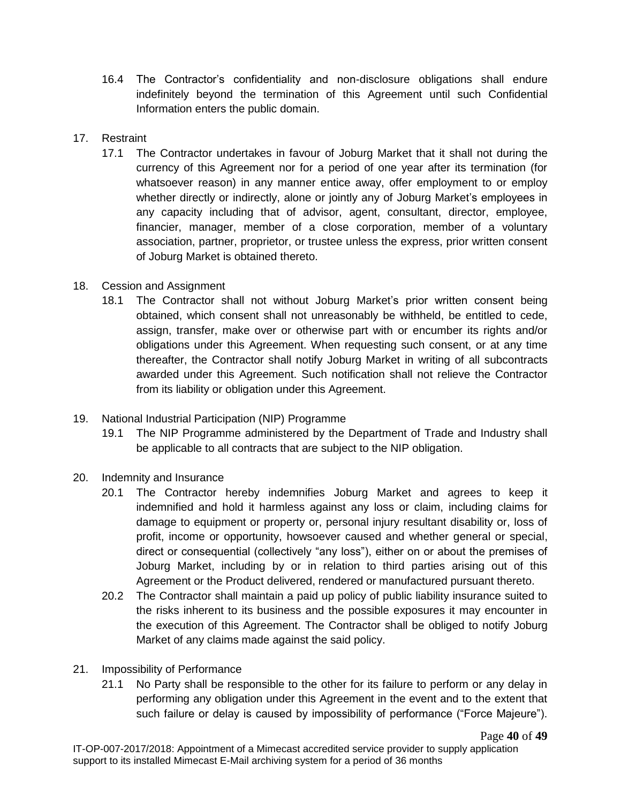- 16.4 The Contractor's confidentiality and non-disclosure obligations shall endure indefinitely beyond the termination of this Agreement until such Confidential Information enters the public domain.
- 17. Restraint
	- 17.1 The Contractor undertakes in favour of Joburg Market that it shall not during the currency of this Agreement nor for a period of one year after its termination (for whatsoever reason) in any manner entice away, offer employment to or employ whether directly or indirectly, alone or jointly any of Joburg Market's employees in any capacity including that of advisor, agent, consultant, director, employee, financier, manager, member of a close corporation, member of a voluntary association, partner, proprietor, or trustee unless the express, prior written consent of Joburg Market is obtained thereto.
- 18. Cession and Assignment
	- 18.1 The Contractor shall not without Joburg Market's prior written consent being obtained, which consent shall not unreasonably be withheld, be entitled to cede, assign, transfer, make over or otherwise part with or encumber its rights and/or obligations under this Agreement. When requesting such consent, or at any time thereafter, the Contractor shall notify Joburg Market in writing of all subcontracts awarded under this Agreement. Such notification shall not relieve the Contractor from its liability or obligation under this Agreement.
- 19. National Industrial Participation (NIP) Programme
	- 19.1 The NIP Programme administered by the Department of Trade and Industry shall be applicable to all contracts that are subject to the NIP obligation.
- 20. Indemnity and Insurance
	- 20.1 The Contractor hereby indemnifies Joburg Market and agrees to keep it indemnified and hold it harmless against any loss or claim, including claims for damage to equipment or property or, personal injury resultant disability or, loss of profit, income or opportunity, howsoever caused and whether general or special, direct or consequential (collectively "any loss"), either on or about the premises of Joburg Market, including by or in relation to third parties arising out of this Agreement or the Product delivered, rendered or manufactured pursuant thereto.
	- 20.2 The Contractor shall maintain a paid up policy of public liability insurance suited to the risks inherent to its business and the possible exposures it may encounter in the execution of this Agreement. The Contractor shall be obliged to notify Joburg Market of any claims made against the said policy.
- 21. Impossibility of Performance
	- 21.1 No Party shall be responsible to the other for its failure to perform or any delay in performing any obligation under this Agreement in the event and to the extent that such failure or delay is caused by impossibility of performance ("Force Majeure").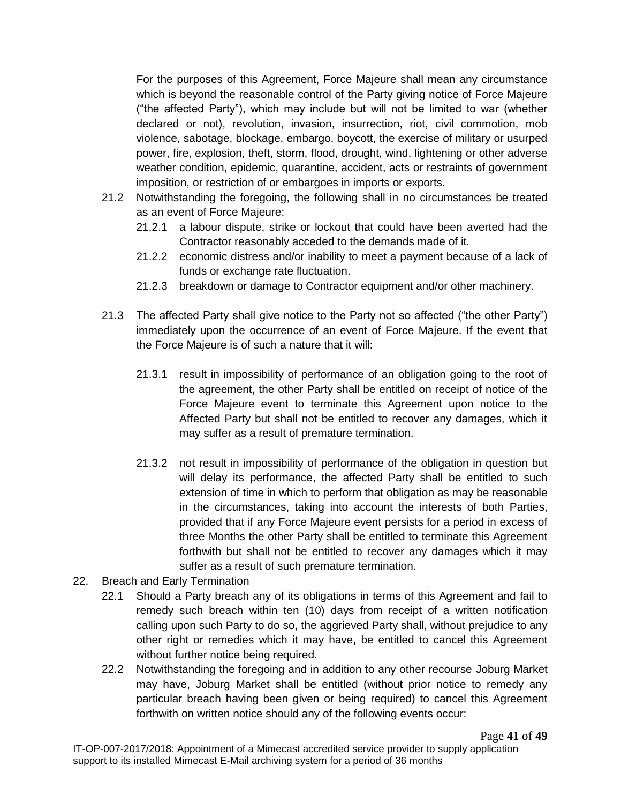For the purposes of this Agreement, Force Majeure shall mean any circumstance which is beyond the reasonable control of the Party giving notice of Force Majeure ("the affected Party"), which may include but will not be limited to war (whether declared or not), revolution, invasion, insurrection, riot, civil commotion, mob violence, sabotage, blockage, embargo, boycott, the exercise of military or usurped power, fire, explosion, theft, storm, flood, drought, wind, lightening or other adverse weather condition, epidemic, quarantine, accident, acts or restraints of government imposition, or restriction of or embargoes in imports or exports.

- 21.2 Notwithstanding the foregoing, the following shall in no circumstances be treated as an event of Force Majeure:
	- 21.2.1 a labour dispute, strike or lockout that could have been averted had the Contractor reasonably acceded to the demands made of it.
	- 21.2.2 economic distress and/or inability to meet a payment because of a lack of funds or exchange rate fluctuation.
	- 21.2.3 breakdown or damage to Contractor equipment and/or other machinery.
- 21.3 The affected Party shall give notice to the Party not so affected ("the other Party") immediately upon the occurrence of an event of Force Majeure. If the event that the Force Majeure is of such a nature that it will:
	- 21.3.1 result in impossibility of performance of an obligation going to the root of the agreement, the other Party shall be entitled on receipt of notice of the Force Majeure event to terminate this Agreement upon notice to the Affected Party but shall not be entitled to recover any damages, which it may suffer as a result of premature termination.
	- 21.3.2 not result in impossibility of performance of the obligation in question but will delay its performance, the affected Party shall be entitled to such extension of time in which to perform that obligation as may be reasonable in the circumstances, taking into account the interests of both Parties, provided that if any Force Majeure event persists for a period in excess of three Months the other Party shall be entitled to terminate this Agreement forthwith but shall not be entitled to recover any damages which it may suffer as a result of such premature termination.
- 22. Breach and Early Termination
	- 22.1 Should a Party breach any of its obligations in terms of this Agreement and fail to remedy such breach within ten (10) days from receipt of a written notification calling upon such Party to do so, the aggrieved Party shall, without prejudice to any other right or remedies which it may have, be entitled to cancel this Agreement without further notice being required.
	- 22.2 Notwithstanding the foregoing and in addition to any other recourse Joburg Market may have, Joburg Market shall be entitled (without prior notice to remedy any particular breach having been given or being required) to cancel this Agreement forthwith on written notice should any of the following events occur: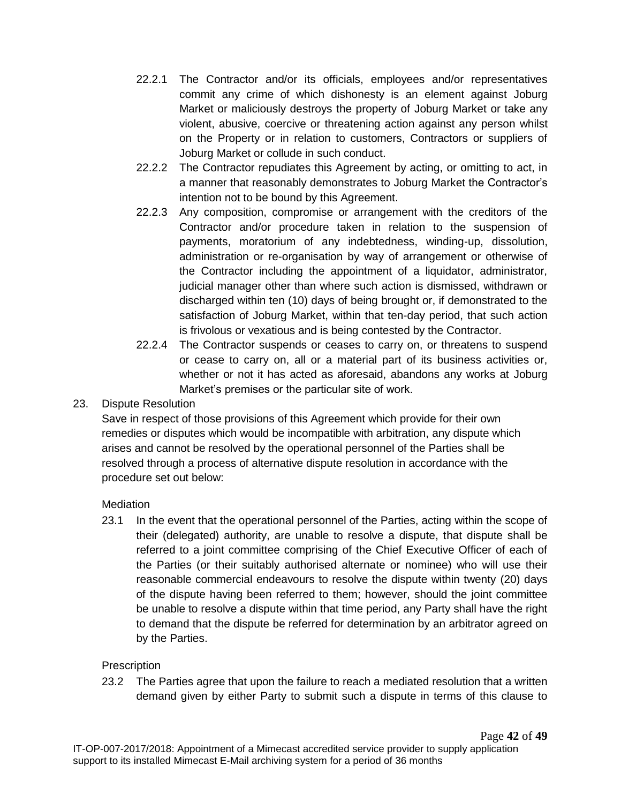- 22.2.1 The Contractor and/or its officials, employees and/or representatives commit any crime of which dishonesty is an element against Joburg Market or maliciously destroys the property of Joburg Market or take any violent, abusive, coercive or threatening action against any person whilst on the Property or in relation to customers, Contractors or suppliers of Joburg Market or collude in such conduct.
- 22.2.2 The Contractor repudiates this Agreement by acting, or omitting to act, in a manner that reasonably demonstrates to Joburg Market the Contractor's intention not to be bound by this Agreement.
- 22.2.3 Any composition, compromise or arrangement with the creditors of the Contractor and/or procedure taken in relation to the suspension of payments, moratorium of any indebtedness, winding-up, dissolution, administration or re-organisation by way of arrangement or otherwise of the Contractor including the appointment of a liquidator, administrator, judicial manager other than where such action is dismissed, withdrawn or discharged within ten (10) days of being brought or, if demonstrated to the satisfaction of Joburg Market, within that ten-day period, that such action is frivolous or vexatious and is being contested by the Contractor.
- 22.2.4 The Contractor suspends or ceases to carry on, or threatens to suspend or cease to carry on, all or a material part of its business activities or, whether or not it has acted as aforesaid, abandons any works at Joburg Market's premises or the particular site of work.

# 23. Dispute Resolution

Save in respect of those provisions of this Agreement which provide for their own remedies or disputes which would be incompatible with arbitration, any dispute which arises and cannot be resolved by the operational personnel of the Parties shall be resolved through a process of alternative dispute resolution in accordance with the procedure set out below:

# **Mediation**

23.1 In the event that the operational personnel of the Parties, acting within the scope of their (delegated) authority, are unable to resolve a dispute, that dispute shall be referred to a joint committee comprising of the Chief Executive Officer of each of the Parties (or their suitably authorised alternate or nominee) who will use their reasonable commercial endeavours to resolve the dispute within twenty (20) days of the dispute having been referred to them; however, should the joint committee be unable to resolve a dispute within that time period, any Party shall have the right to demand that the dispute be referred for determination by an arbitrator agreed on by the Parties.

# **Prescription**

23.2 The Parties agree that upon the failure to reach a mediated resolution that a written demand given by either Party to submit such a dispute in terms of this clause to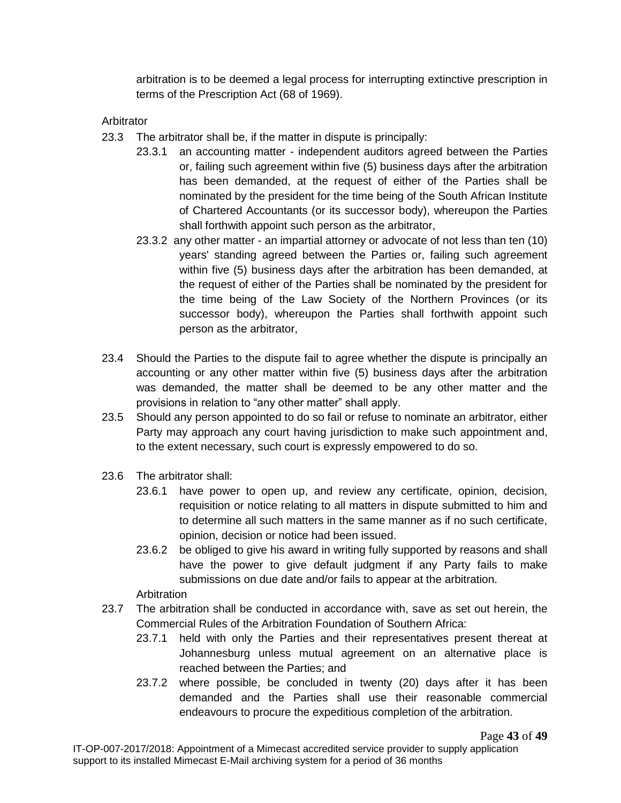arbitration is to be deemed a legal process for interrupting extinctive prescription in terms of the Prescription Act (68 of 1969).

Arbitrator

- 23.3 The arbitrator shall be, if the matter in dispute is principally:
	- 23.3.1 an accounting matter independent auditors agreed between the Parties or, failing such agreement within five (5) business days after the arbitration has been demanded, at the request of either of the Parties shall be nominated by the president for the time being of the South African Institute of Chartered Accountants (or its successor body), whereupon the Parties shall forthwith appoint such person as the arbitrator,
	- 23.3.2 any other matter an impartial attorney or advocate of not less than ten (10) years' standing agreed between the Parties or, failing such agreement within five (5) business days after the arbitration has been demanded, at the request of either of the Parties shall be nominated by the president for the time being of the Law Society of the Northern Provinces (or its successor body), whereupon the Parties shall forthwith appoint such person as the arbitrator,
- 23.4 Should the Parties to the dispute fail to agree whether the dispute is principally an accounting or any other matter within five (5) business days after the arbitration was demanded, the matter shall be deemed to be any other matter and the provisions in relation to "any other matter" shall apply.
- 23.5 Should any person appointed to do so fail or refuse to nominate an arbitrator, either Party may approach any court having jurisdiction to make such appointment and, to the extent necessary, such court is expressly empowered to do so.
- 23.6 The arbitrator shall:
	- 23.6.1 have power to open up, and review any certificate, opinion, decision, requisition or notice relating to all matters in dispute submitted to him and to determine all such matters in the same manner as if no such certificate, opinion, decision or notice had been issued.
	- 23.6.2 be obliged to give his award in writing fully supported by reasons and shall have the power to give default judgment if any Party fails to make submissions on due date and/or fails to appear at the arbitration.

Arbitration

- 23.7 The arbitration shall be conducted in accordance with, save as set out herein, the Commercial Rules of the Arbitration Foundation of Southern Africa:
	- 23.7.1 held with only the Parties and their representatives present thereat at Johannesburg unless mutual agreement on an alternative place is reached between the Parties; and
	- 23.7.2 where possible, be concluded in twenty (20) days after it has been demanded and the Parties shall use their reasonable commercial endeavours to procure the expeditious completion of the arbitration.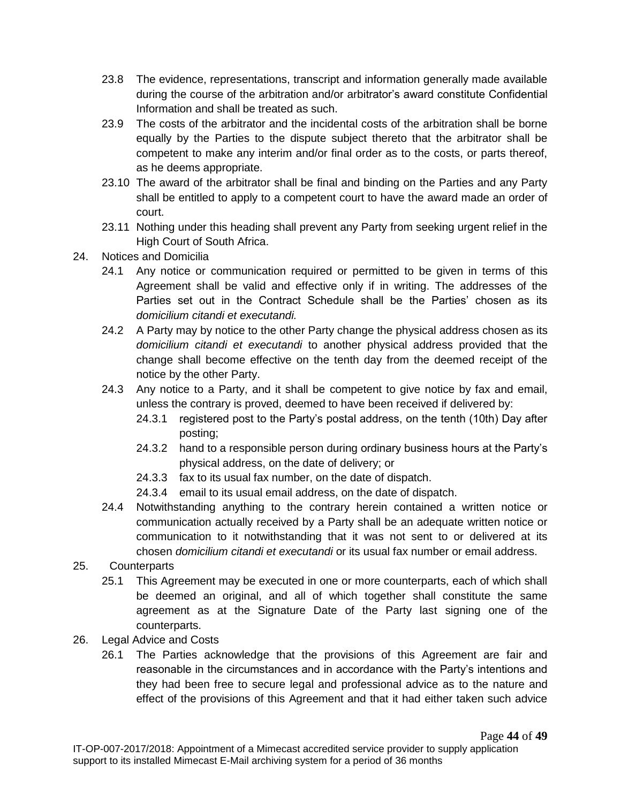- 23.8 The evidence, representations, transcript and information generally made available during the course of the arbitration and/or arbitrator's award constitute Confidential Information and shall be treated as such.
- 23.9 The costs of the arbitrator and the incidental costs of the arbitration shall be borne equally by the Parties to the dispute subject thereto that the arbitrator shall be competent to make any interim and/or final order as to the costs, or parts thereof, as he deems appropriate.
- 23.10 The award of the arbitrator shall be final and binding on the Parties and any Party shall be entitled to apply to a competent court to have the award made an order of court.
- 23.11 Nothing under this heading shall prevent any Party from seeking urgent relief in the High Court of South Africa.
- 24. Notices and Domicilia
	- 24.1 Any notice or communication required or permitted to be given in terms of this Agreement shall be valid and effective only if in writing. The addresses of the Parties set out in the Contract Schedule shall be the Parties' chosen as its *domicilium citandi et executandi.*
	- 24.2 A Party may by notice to the other Party change the physical address chosen as its *domicilium citandi et executandi* to another physical address provided that the change shall become effective on the tenth day from the deemed receipt of the notice by the other Party.
	- 24.3 Any notice to a Party, and it shall be competent to give notice by fax and email, unless the contrary is proved, deemed to have been received if delivered by:
		- 24.3.1 registered post to the Party's postal address, on the tenth (10th) Day after posting;
		- 24.3.2 hand to a responsible person during ordinary business hours at the Party's physical address, on the date of delivery; or
		- 24.3.3 fax to its usual fax number, on the date of dispatch.
		- 24.3.4 email to its usual email address, on the date of dispatch.
	- 24.4 Notwithstanding anything to the contrary herein contained a written notice or communication actually received by a Party shall be an adequate written notice or communication to it notwithstanding that it was not sent to or delivered at its chosen *domicilium citandi et executandi* or its usual fax number or email address.
- 25. Counterparts
	- 25.1 This Agreement may be executed in one or more counterparts, each of which shall be deemed an original, and all of which together shall constitute the same agreement as at the Signature Date of the Party last signing one of the counterparts.
- 26. Legal Advice and Costs
	- 26.1 The Parties acknowledge that the provisions of this Agreement are fair and reasonable in the circumstances and in accordance with the Party's intentions and they had been free to secure legal and professional advice as to the nature and effect of the provisions of this Agreement and that it had either taken such advice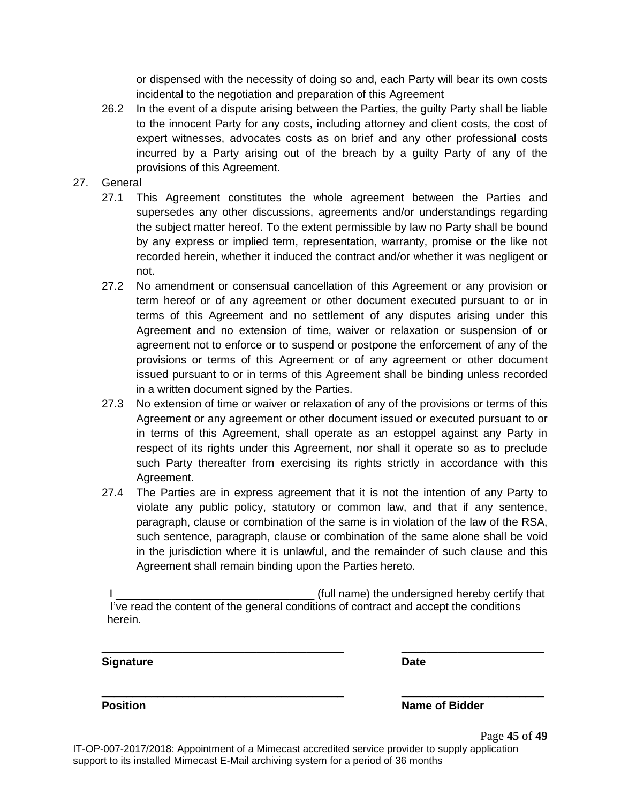or dispensed with the necessity of doing so and, each Party will bear its own costs incidental to the negotiation and preparation of this Agreement

- 26.2 In the event of a dispute arising between the Parties, the guilty Party shall be liable to the innocent Party for any costs, including attorney and client costs, the cost of expert witnesses, advocates costs as on brief and any other professional costs incurred by a Party arising out of the breach by a guilty Party of any of the provisions of this Agreement.
- 27. General
	- 27.1 This Agreement constitutes the whole agreement between the Parties and supersedes any other discussions, agreements and/or understandings regarding the subject matter hereof. To the extent permissible by law no Party shall be bound by any express or implied term, representation, warranty, promise or the like not recorded herein, whether it induced the contract and/or whether it was negligent or not.
	- 27.2 No amendment or consensual cancellation of this Agreement or any provision or term hereof or of any agreement or other document executed pursuant to or in terms of this Agreement and no settlement of any disputes arising under this Agreement and no extension of time, waiver or relaxation or suspension of or agreement not to enforce or to suspend or postpone the enforcement of any of the provisions or terms of this Agreement or of any agreement or other document issued pursuant to or in terms of this Agreement shall be binding unless recorded in a written document signed by the Parties.
	- 27.3 No extension of time or waiver or relaxation of any of the provisions or terms of this Agreement or any agreement or other document issued or executed pursuant to or in terms of this Agreement, shall operate as an estoppel against any Party in respect of its rights under this Agreement, nor shall it operate so as to preclude such Party thereafter from exercising its rights strictly in accordance with this Agreement.
	- 27.4 The Parties are in express agreement that it is not the intention of any Party to violate any public policy, statutory or common law, and that if any sentence, paragraph, clause or combination of the same is in violation of the law of the RSA, such sentence, paragraph, clause or combination of the same alone shall be void in the jurisdiction where it is unlawful, and the remainder of such clause and this Agreement shall remain binding upon the Parties hereto.

| (full name) the undersigned hereby certify that                                       |
|---------------------------------------------------------------------------------------|
| I've read the content of the general conditions of contract and accept the conditions |
| herein.                                                                               |

\_\_\_\_\_\_\_\_\_\_\_\_\_\_\_\_\_\_\_\_\_\_\_\_\_\_\_\_\_\_\_\_\_\_\_\_\_\_\_ \_\_\_\_\_\_\_\_\_\_\_\_\_\_\_\_\_\_\_\_\_\_\_

\_\_\_\_\_\_\_\_\_\_\_\_\_\_\_\_\_\_\_\_\_\_\_\_\_\_\_\_\_\_\_\_\_\_\_\_\_\_\_ \_\_\_\_\_\_\_\_\_\_\_\_\_\_\_\_\_\_\_\_\_\_\_

#### **Signature Date**

**Position Position Name of Bidder**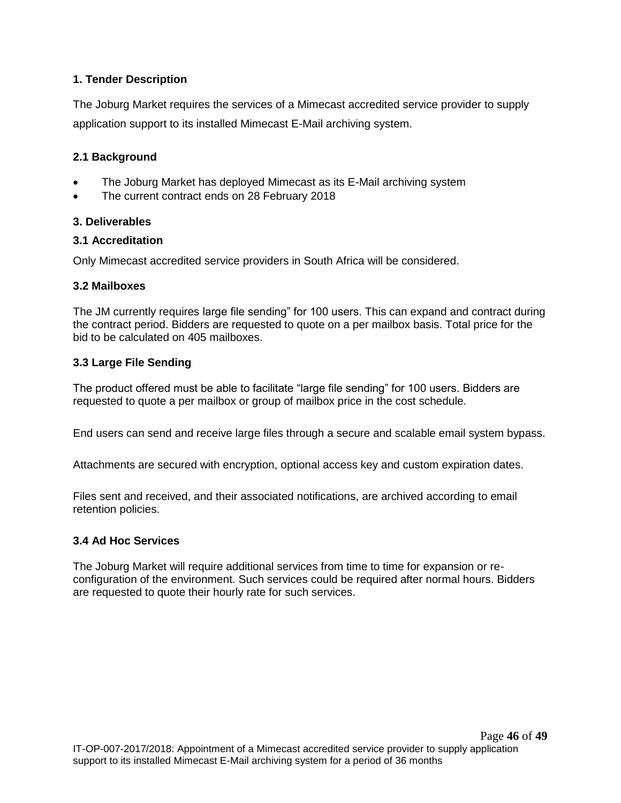## **1. Tender Description**

The Joburg Market requires the services of a Mimecast accredited service provider to supply application support to its installed Mimecast E-Mail archiving system.

#### **2.1 Background**

- The Joburg Market has deployed Mimecast as its E-Mail archiving system
- The current contract ends on 28 February 2018

#### **3. Deliverables**

#### **3.1 Accreditation**

Only Mimecast accredited service providers in South Africa will be considered.

#### **3.2 Mailboxes**

The JM currently requires large file sending" for 100 users. This can expand and contract during the contract period. Bidders are requested to quote on a per mailbox basis. Total price for the bid to be calculated on 405 mailboxes.

#### **3.3 Large File Sending**

The product offered must be able to facilitate "large file sending" for 100 users. Bidders are requested to quote a per mailbox or group of mailbox price in the cost schedule.

End users can send and receive large files through a secure and scalable email system bypass.

Attachments are secured with encryption, optional access key and custom expiration dates.

Files sent and received, and their associated notifications, are archived according to email retention policies.

#### **3.4 Ad Hoc Services**

The Joburg Market will require additional services from time to time for expansion or reconfiguration of the environment. Such services could be required after normal hours. Bidders are requested to quote their hourly rate for such services.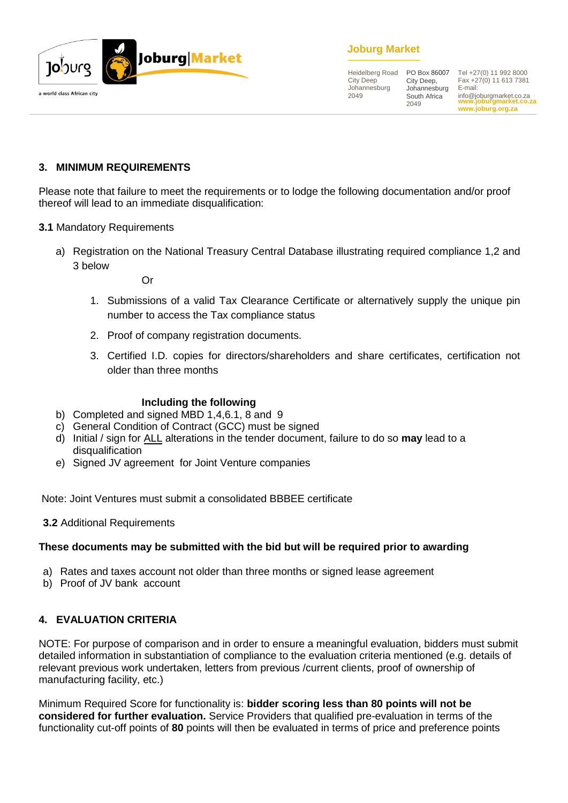

# **Joburg Market**

Heidelberg Road City Deep Johannesburg 2049

PO Box 86007 City Deep, Johannesburg South Africa 2049

**www.joburgmarket.co.za** info@joburgmarket.co.za **www.joburg.org.za** Tel +27(0) 11 992 8000 Fax +27(0) 11 613 7381 E-mail:

#### **3. MINIMUM REQUIREMENTS**

Please note that failure to meet the requirements or to lodge the following documentation and/or proof thereof will lead to an immediate disqualification:

#### **3.1** Mandatory Requirements

a) Registration on the National Treasury Central Database illustrating required compliance 1,2 and 3 below

Or

- 1. Submissions of a valid Tax Clearance Certificate or alternatively supply the unique pin number to access the Tax compliance status
- 2. Proof of company registration documents.
- 3. Certified I.D. copies for directors/shareholders and share certificates, certification not older than three months

#### **Including the following**

- b) Completed and signed MBD 1,4,6.1, 8 and 9
- c) General Condition of Contract (GCC) must be signed
- d) Initial / sign for ALL alterations in the tender document, failure to do so **may** lead to a disqualification
- e) Signed JV agreement for Joint Venture companies

Note: Joint Ventures must submit a consolidated BBBEE certificate

**3.2** Additional Requirements

#### **These documents may be submitted with the bid but will be required prior to awarding**

- a) Rates and taxes account not older than three months or signed lease agreement
- b) Proof of JV bank account

#### **4. EVALUATION CRITERIA**

NOTE: For purpose of comparison and in order to ensure a meaningful evaluation, bidders must submit detailed information in substantiation of compliance to the evaluation criteria mentioned (e.g. details of relevant previous work undertaken, letters from previous /current clients, proof of ownership of manufacturing facility, etc.)

Minimum Required Score for functionality is: **bidder scoring less than 80 points will not be considered for further evaluation.** Service Providers that qualified pre-evaluation in terms of the functionality cut-off points of **80** points will then be evaluated in terms of price and preference points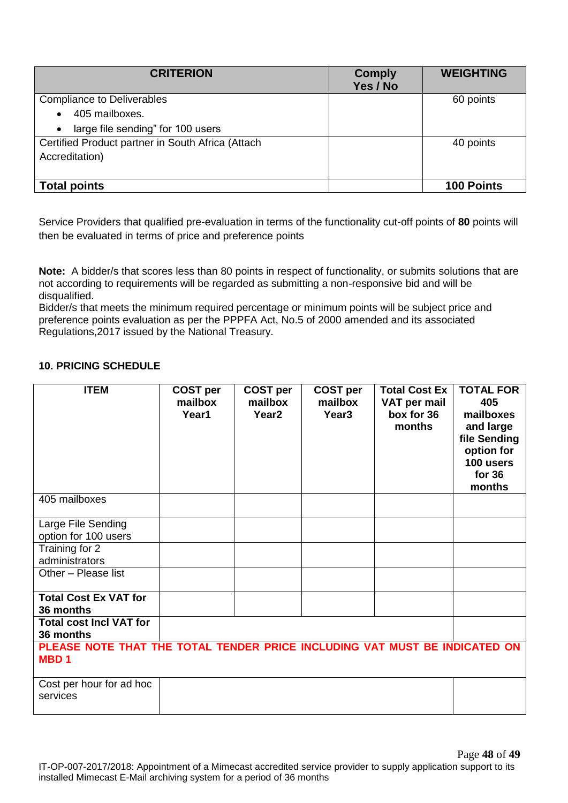| <b>CRITERION</b>                                  | <b>Comply</b><br>Yes / No | <b>WEIGHTING</b>  |
|---------------------------------------------------|---------------------------|-------------------|
| <b>Compliance to Deliverables</b>                 |                           | 60 points         |
| 405 mailboxes.<br>$\bullet$                       |                           |                   |
| large file sending" for 100 users<br>$\bullet$    |                           |                   |
| Certified Product partner in South Africa (Attach |                           | 40 points         |
| Accreditation)                                    |                           |                   |
|                                                   |                           |                   |
| <b>Total points</b>                               |                           | <b>100 Points</b> |

Service Providers that qualified pre-evaluation in terms of the functionality cut-off points of **80** points will then be evaluated in terms of price and preference points

**Note:** A bidder/s that scores less than 80 points in respect of functionality, or submits solutions that are not according to requirements will be regarded as submitting a non-responsive bid and will be disqualified.

Bidder/s that meets the minimum required percentage or minimum points will be subject price and preference points evaluation as per the PPPFA Act, No.5 of 2000 amended and its associated Regulations,2017 issued by the National Treasury.

## **10. PRICING SCHEDULE**

| <b>ITEM</b>                                                                               | <b>COST per</b><br>mailbox<br>Year1 | <b>COST per</b><br>mailbox<br>Year <sub>2</sub> | <b>COST per</b><br>mailbox<br>Year <sub>3</sub> | <b>Total Cost Ex</b><br>VAT per mail<br>box for 36<br>months | <b>TOTAL FOR</b><br>405<br>mailboxes<br>and large<br>file Sending<br>option for<br>100 users<br>for $36$<br>months |  |  |
|-------------------------------------------------------------------------------------------|-------------------------------------|-------------------------------------------------|-------------------------------------------------|--------------------------------------------------------------|--------------------------------------------------------------------------------------------------------------------|--|--|
| 405 mailboxes                                                                             |                                     |                                                 |                                                 |                                                              |                                                                                                                    |  |  |
| Large File Sending<br>option for 100 users                                                |                                     |                                                 |                                                 |                                                              |                                                                                                                    |  |  |
| Training for 2<br>administrators                                                          |                                     |                                                 |                                                 |                                                              |                                                                                                                    |  |  |
| Other - Please list                                                                       |                                     |                                                 |                                                 |                                                              |                                                                                                                    |  |  |
| <b>Total Cost Ex VAT for</b><br>36 months                                                 |                                     |                                                 |                                                 |                                                              |                                                                                                                    |  |  |
| <b>Total cost Incl VAT for</b><br>36 months                                               |                                     |                                                 |                                                 |                                                              |                                                                                                                    |  |  |
| PLEASE NOTE THAT THE TOTAL TENDER PRICE INCLUDING VAT MUST BE INDICATED ON<br><b>MBD1</b> |                                     |                                                 |                                                 |                                                              |                                                                                                                    |  |  |
| Cost per hour for ad hoc<br>services                                                      |                                     |                                                 |                                                 |                                                              |                                                                                                                    |  |  |